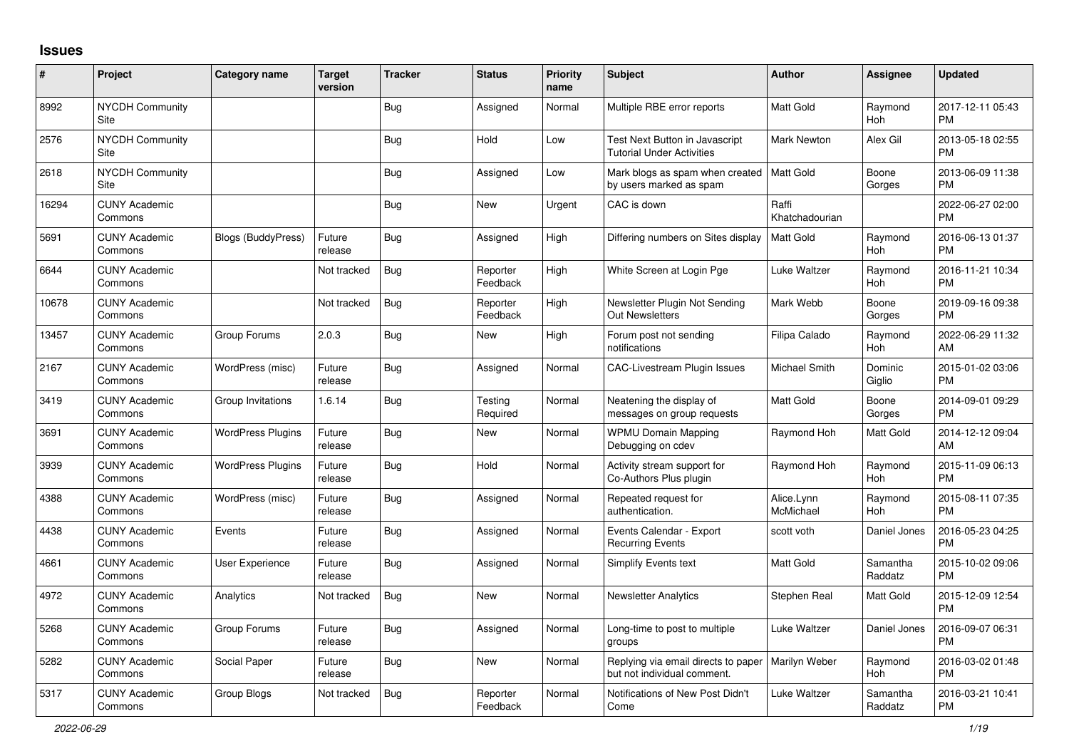## **Issues**

| $\vert$ # | Project                               | <b>Category name</b>      | <b>Target</b><br>version | <b>Tracker</b> | <b>Status</b>        | <b>Priority</b><br>name | <b>Subject</b>                                                     | <b>Author</b>           | Assignee            | <b>Updated</b>                |
|-----------|---------------------------------------|---------------------------|--------------------------|----------------|----------------------|-------------------------|--------------------------------------------------------------------|-------------------------|---------------------|-------------------------------|
| 8992      | NYCDH Community<br>Site               |                           |                          | Bug            | Assigned             | Normal                  | Multiple RBE error reports                                         | <b>Matt Gold</b>        | Raymond<br>Hoh      | 2017-12-11 05:43<br><b>PM</b> |
| 2576      | <b>NYCDH Community</b><br>Site        |                           |                          | <b>Bug</b>     | Hold                 | Low                     | Test Next Button in Javascript<br><b>Tutorial Under Activities</b> | Mark Newton             | Alex Gil            | 2013-05-18 02:55<br><b>PM</b> |
| 2618      | <b>NYCDH Community</b><br><b>Site</b> |                           |                          | Bug            | Assigned             | Low                     | Mark blogs as spam when created<br>by users marked as spam         | <b>Matt Gold</b>        | Boone<br>Gorges     | 2013-06-09 11:38<br><b>PM</b> |
| 16294     | <b>CUNY Academic</b><br>Commons       |                           |                          | Bug            | New                  | Urgent                  | CAC is down                                                        | Raffi<br>Khatchadourian |                     | 2022-06-27 02:00<br><b>PM</b> |
| 5691      | <b>CUNY Academic</b><br>Commons       | <b>Blogs (BuddyPress)</b> | Future<br>release        | <b>Bug</b>     | Assigned             | High                    | Differing numbers on Sites display                                 | Matt Gold               | Raymond<br>Hoh      | 2016-06-13 01:37<br><b>PM</b> |
| 6644      | <b>CUNY Academic</b><br>Commons       |                           | Not tracked              | Bug            | Reporter<br>Feedback | High                    | White Screen at Login Pge                                          | Luke Waltzer            | Raymond<br>Hoh      | 2016-11-21 10:34<br><b>PM</b> |
| 10678     | <b>CUNY Academic</b><br>Commons       |                           | Not tracked              | <b>Bug</b>     | Reporter<br>Feedback | High                    | Newsletter Plugin Not Sending<br>Out Newsletters                   | Mark Webb               | Boone<br>Gorges     | 2019-09-16 09:38<br><b>PM</b> |
| 13457     | <b>CUNY Academic</b><br>Commons       | Group Forums              | 2.0.3                    | Bug            | New                  | High                    | Forum post not sending<br>notifications                            | Filipa Calado           | Raymond<br>Hoh      | 2022-06-29 11:32<br>AM        |
| 2167      | <b>CUNY Academic</b><br>Commons       | WordPress (misc)          | Future<br>release        | <b>Bug</b>     | Assigned             | Normal                  | <b>CAC-Livestream Plugin Issues</b>                                | <b>Michael Smith</b>    | Dominic<br>Giglio   | 2015-01-02 03:06<br><b>PM</b> |
| 3419      | <b>CUNY Academic</b><br>Commons       | Group Invitations         | 1.6.14                   | Bug            | Testing<br>Required  | Normal                  | Neatening the display of<br>messages on group requests             | <b>Matt Gold</b>        | Boone<br>Gorges     | 2014-09-01 09:29<br><b>PM</b> |
| 3691      | <b>CUNY Academic</b><br>Commons       | <b>WordPress Plugins</b>  | Future<br>release        | <b>Bug</b>     | <b>New</b>           | Normal                  | <b>WPMU Domain Mapping</b><br>Debugging on cdev                    | Raymond Hoh             | Matt Gold           | 2014-12-12 09:04<br>AM        |
| 3939      | <b>CUNY Academic</b><br>Commons       | <b>WordPress Plugins</b>  | Future<br>release        | Bug            | Hold                 | Normal                  | Activity stream support for<br>Co-Authors Plus plugin              | Raymond Hoh             | Raymond<br>Hoh      | 2015-11-09 06:13<br><b>PM</b> |
| 4388      | <b>CUNY Academic</b><br>Commons       | WordPress (misc)          | Future<br>release        | Bug            | Assigned             | Normal                  | Repeated request for<br>authentication.                            | Alice.Lynn<br>McMichael | Raymond<br>Hoh      | 2015-08-11 07:35<br><b>PM</b> |
| 4438      | <b>CUNY Academic</b><br>Commons       | Events                    | Future<br>release        | Bug            | Assigned             | Normal                  | Events Calendar - Export<br><b>Recurring Events</b>                | scott voth              | Daniel Jones        | 2016-05-23 04:25<br><b>PM</b> |
| 4661      | <b>CUNY Academic</b><br>Commons       | User Experience           | Future<br>release        | Bug            | Assigned             | Normal                  | Simplify Events text                                               | <b>Matt Gold</b>        | Samantha<br>Raddatz | 2015-10-02 09:06<br><b>PM</b> |
| 4972      | <b>CUNY Academic</b><br>Commons       | Analytics                 | Not tracked              | Bug            | <b>New</b>           | Normal                  | <b>Newsletter Analytics</b>                                        | Stephen Real            | Matt Gold           | 2015-12-09 12:54<br><b>PM</b> |
| 5268      | <b>CUNY Academic</b><br>Commons       | Group Forums              | Future<br>release        | Bug            | Assigned             | Normal                  | Long-time to post to multiple<br>groups                            | Luke Waltzer            | Daniel Jones        | 2016-09-07 06:31<br><b>PM</b> |
| 5282      | <b>CUNY Academic</b><br>Commons       | Social Paper              | Future<br>release        | <b>Bug</b>     | <b>New</b>           | Normal                  | Replying via email directs to paper<br>but not individual comment. | Marilyn Weber           | Raymond<br>Hoh      | 2016-03-02 01:48<br><b>PM</b> |
| 5317      | <b>CUNY Academic</b><br>Commons       | Group Blogs               | Not tracked              | Bug            | Reporter<br>Feedback | Normal                  | Notifications of New Post Didn't<br>Come                           | Luke Waltzer            | Samantha<br>Raddatz | 2016-03-21 10:41<br><b>PM</b> |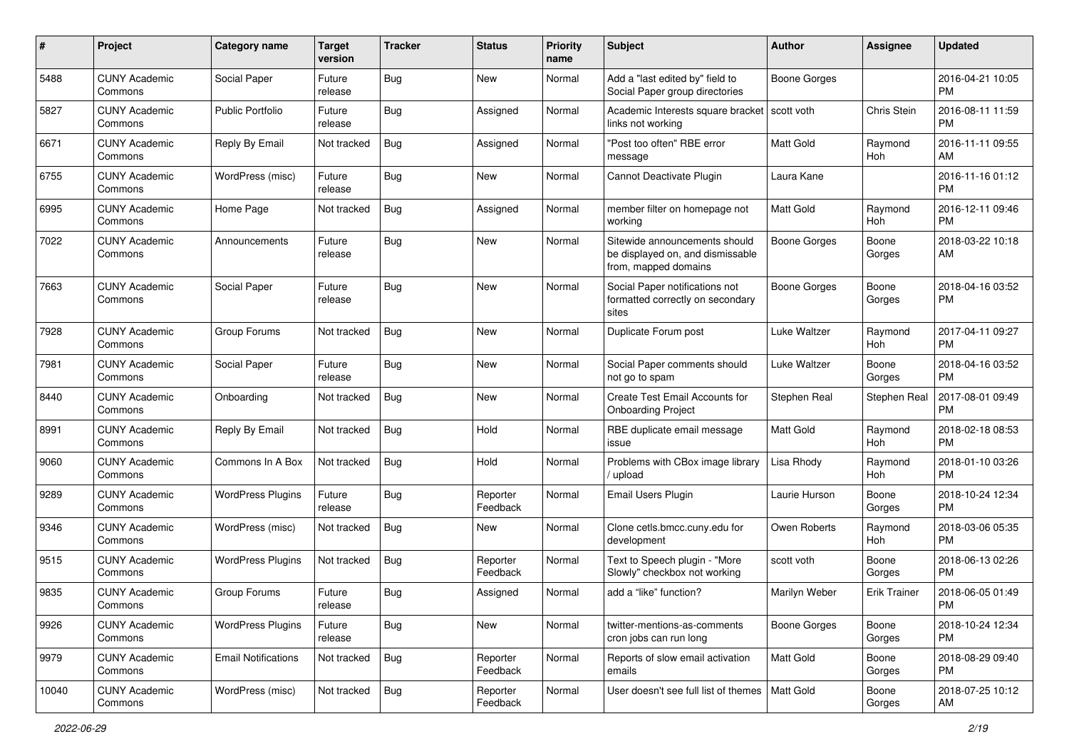| #     | Project                         | <b>Category name</b>       | <b>Target</b><br>version | <b>Tracker</b> | <b>Status</b>        | <b>Priority</b><br>name | Subject                                                                                   | Author              | <b>Assignee</b>     | <b>Updated</b>                |
|-------|---------------------------------|----------------------------|--------------------------|----------------|----------------------|-------------------------|-------------------------------------------------------------------------------------------|---------------------|---------------------|-------------------------------|
| 5488  | <b>CUNY Academic</b><br>Commons | Social Paper               | Future<br>release        | <b>Bug</b>     | <b>New</b>           | Normal                  | Add a "last edited by" field to<br>Social Paper group directories                         | <b>Boone Gorges</b> |                     | 2016-04-21 10:05<br><b>PM</b> |
| 5827  | <b>CUNY Academic</b><br>Commons | <b>Public Portfolio</b>    | Future<br>release        | Bug            | Assigned             | Normal                  | Academic Interests square bracket<br>links not working                                    | l scott voth        | Chris Stein         | 2016-08-11 11:59<br><b>PM</b> |
| 6671  | <b>CUNY Academic</b><br>Commons | Reply By Email             | Not tracked              | Bug            | Assigned             | Normal                  | "Post too often" RBE error<br>message                                                     | Matt Gold           | Raymond<br>Hoh      | 2016-11-11 09:55<br>AM        |
| 6755  | <b>CUNY Academic</b><br>Commons | WordPress (misc)           | Future<br>release        | Bug            | <b>New</b>           | Normal                  | Cannot Deactivate Plugin                                                                  | Laura Kane          |                     | 2016-11-16 01:12<br><b>PM</b> |
| 6995  | <b>CUNY Academic</b><br>Commons | Home Page                  | Not tracked              | Bug            | Assigned             | Normal                  | member filter on homepage not<br>working                                                  | <b>Matt Gold</b>    | Raymond<br>Hoh      | 2016-12-11 09:46<br><b>PM</b> |
| 7022  | <b>CUNY Academic</b><br>Commons | Announcements              | Future<br>release        | Bug            | New                  | Normal                  | Sitewide announcements should<br>be displayed on, and dismissable<br>from, mapped domains | <b>Boone Gorges</b> | Boone<br>Gorges     | 2018-03-22 10:18<br>AM        |
| 7663  | <b>CUNY Academic</b><br>Commons | Social Paper               | Future<br>release        | Bug            | New                  | Normal                  | Social Paper notifications not<br>formatted correctly on secondary<br>sites               | <b>Boone Gorges</b> | Boone<br>Gorges     | 2018-04-16 03:52<br><b>PM</b> |
| 7928  | <b>CUNY Academic</b><br>Commons | Group Forums               | Not tracked              | Bug            | New                  | Normal                  | Duplicate Forum post                                                                      | Luke Waltzer        | Raymond<br>Hoh      | 2017-04-11 09:27<br><b>PM</b> |
| 7981  | <b>CUNY Academic</b><br>Commons | Social Paper               | Future<br>release        | Bug            | <b>New</b>           | Normal                  | Social Paper comments should<br>not go to spam                                            | Luke Waltzer        | Boone<br>Gorges     | 2018-04-16 03:52<br><b>PM</b> |
| 8440  | <b>CUNY Academic</b><br>Commons | Onboarding                 | Not tracked              | Bug            | <b>New</b>           | Normal                  | Create Test Email Accounts for<br><b>Onboarding Project</b>                               | Stephen Real        | Stephen Real        | 2017-08-01 09:49<br><b>PM</b> |
| 8991  | <b>CUNY Academic</b><br>Commons | Reply By Email             | Not tracked              | <b>Bug</b>     | Hold                 | Normal                  | RBE duplicate email message<br>issue                                                      | <b>Matt Gold</b>    | Raymond<br>Hoh      | 2018-02-18 08:53<br><b>PM</b> |
| 9060  | <b>CUNY Academic</b><br>Commons | Commons In A Box           | Not tracked              | Bug            | Hold                 | Normal                  | Problems with CBox image library<br>/ upload                                              | Lisa Rhody          | Raymond<br>Hoh      | 2018-01-10 03:26<br><b>PM</b> |
| 9289  | <b>CUNY Academic</b><br>Commons | <b>WordPress Plugins</b>   | Future<br>release        | Bug            | Reporter<br>Feedback | Normal                  | Email Users Plugin                                                                        | Laurie Hurson       | Boone<br>Gorges     | 2018-10-24 12:34<br><b>PM</b> |
| 9346  | <b>CUNY Academic</b><br>Commons | WordPress (misc)           | Not tracked              | Bug            | New                  | Normal                  | Clone cetls.bmcc.cuny.edu for<br>development                                              | Owen Roberts        | Raymond<br>Hoh      | 2018-03-06 05:35<br><b>PM</b> |
| 9515  | <b>CUNY Academic</b><br>Commons | <b>WordPress Plugins</b>   | Not tracked              | <b>Bug</b>     | Reporter<br>Feedback | Normal                  | Text to Speech plugin - "More<br>Slowly" checkbox not working                             | scott voth          | Boone<br>Gorges     | 2018-06-13 02:26<br><b>PM</b> |
| 9835  | <b>CUNY Academic</b><br>Commons | Group Forums               | Future<br>release        | <b>Bug</b>     | Assigned             | Normal                  | add a "like" function?                                                                    | Marilyn Weber       | <b>Erik Trainer</b> | 2018-06-05 01:49<br>PM        |
| 9926  | <b>CUNY Academic</b><br>Commons | <b>WordPress Plugins</b>   | Future<br>release        | Bug            | New                  | Normal                  | twitter-mentions-as-comments<br>cron jobs can run long                                    | <b>Boone Gorges</b> | Boone<br>Gorges     | 2018-10-24 12:34<br>PM        |
| 9979  | <b>CUNY Academic</b><br>Commons | <b>Email Notifications</b> | Not tracked              | Bug            | Reporter<br>Feedback | Normal                  | Reports of slow email activation<br>emails                                                | <b>Matt Gold</b>    | Boone<br>Gorges     | 2018-08-29 09:40<br><b>PM</b> |
| 10040 | <b>CUNY Academic</b><br>Commons | WordPress (misc)           | Not tracked              | Bug            | Reporter<br>Feedback | Normal                  | User doesn't see full list of themes   Matt Gold                                          |                     | Boone<br>Gorges     | 2018-07-25 10:12<br>AM        |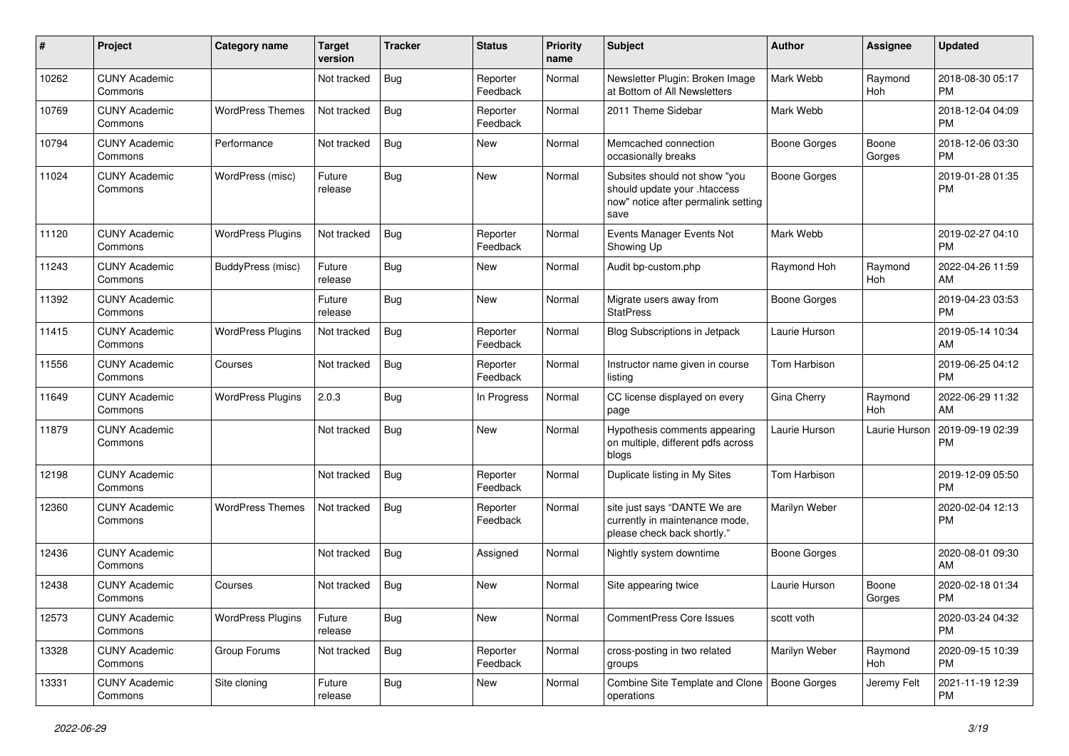| #     | Project                         | <b>Category name</b>     | <b>Target</b><br>version | <b>Tracker</b> | <b>Status</b>        | <b>Priority</b><br>name | Subject                                                                                                      | Author              | <b>Assignee</b>       | <b>Updated</b>                |
|-------|---------------------------------|--------------------------|--------------------------|----------------|----------------------|-------------------------|--------------------------------------------------------------------------------------------------------------|---------------------|-----------------------|-------------------------------|
| 10262 | <b>CUNY Academic</b><br>Commons |                          | Not tracked              | <b>Bug</b>     | Reporter<br>Feedback | Normal                  | Newsletter Plugin: Broken Image<br>at Bottom of All Newsletters                                              | Mark Webb           | Raymond<br><b>Hoh</b> | 2018-08-30 05:17<br>PM        |
| 10769 | <b>CUNY Academic</b><br>Commons | <b>WordPress Themes</b>  | Not tracked              | Bug            | Reporter<br>Feedback | Normal                  | 2011 Theme Sidebar                                                                                           | Mark Webb           |                       | 2018-12-04 04:09<br><b>PM</b> |
| 10794 | <b>CUNY Academic</b><br>Commons | Performance              | Not tracked              | Bug            | New                  | Normal                  | Memcached connection<br>occasionally breaks                                                                  | <b>Boone Gorges</b> | Boone<br>Gorges       | 2018-12-06 03:30<br><b>PM</b> |
| 11024 | <b>CUNY Academic</b><br>Commons | WordPress (misc)         | Future<br>release        | Bug            | New                  | Normal                  | Subsites should not show "you<br>should update your .htaccess<br>now" notice after permalink setting<br>save | <b>Boone Gorges</b> |                       | 2019-01-28 01:35<br><b>PM</b> |
| 11120 | <b>CUNY Academic</b><br>Commons | <b>WordPress Plugins</b> | Not tracked              | Bug            | Reporter<br>Feedback | Normal                  | Events Manager Events Not<br>Showing Up                                                                      | Mark Webb           |                       | 2019-02-27 04:10<br><b>PM</b> |
| 11243 | <b>CUNY Academic</b><br>Commons | BuddyPress (misc)        | Future<br>release        | Bug            | New                  | Normal                  | Audit bp-custom.php                                                                                          | Raymond Hoh         | Raymond<br><b>Hoh</b> | 2022-04-26 11:59<br>AM        |
| 11392 | <b>CUNY Academic</b><br>Commons |                          | Future<br>release        | <b>Bug</b>     | <b>New</b>           | Normal                  | Migrate users away from<br><b>StatPress</b>                                                                  | <b>Boone Gorges</b> |                       | 2019-04-23 03:53<br>PM        |
| 11415 | <b>CUNY Academic</b><br>Commons | <b>WordPress Plugins</b> | Not tracked              | Bug            | Reporter<br>Feedback | Normal                  | Blog Subscriptions in Jetpack                                                                                | Laurie Hurson       |                       | 2019-05-14 10:34<br>AM        |
| 11556 | <b>CUNY Academic</b><br>Commons | Courses                  | Not tracked              | <b>Bug</b>     | Reporter<br>Feedback | Normal                  | Instructor name given in course<br>listing                                                                   | Tom Harbison        |                       | 2019-06-25 04:12<br>PM        |
| 11649 | <b>CUNY Academic</b><br>Commons | <b>WordPress Plugins</b> | 2.0.3                    | Bug            | In Progress          | Normal                  | CC license displayed on every<br>page                                                                        | Gina Cherry         | Raymond<br>Hoh        | 2022-06-29 11:32<br>AM        |
| 11879 | <b>CUNY Academic</b><br>Commons |                          | Not tracked              | Bug            | <b>New</b>           | Normal                  | Hypothesis comments appearing<br>on multiple, different pdfs across<br>blogs                                 | Laurie Hurson       | Laurie Hurson         | 2019-09-19 02:39<br><b>PM</b> |
| 12198 | <b>CUNY Academic</b><br>Commons |                          | Not tracked              | Bug            | Reporter<br>Feedback | Normal                  | Duplicate listing in My Sites                                                                                | Tom Harbison        |                       | 2019-12-09 05:50<br><b>PM</b> |
| 12360 | <b>CUNY Academic</b><br>Commons | <b>WordPress Themes</b>  | Not tracked              | Bug            | Reporter<br>Feedback | Normal                  | site just says "DANTE We are<br>currently in maintenance mode,<br>please check back shortly."                | Marilyn Weber       |                       | 2020-02-04 12:13<br><b>PM</b> |
| 12436 | <b>CUNY Academic</b><br>Commons |                          | Not tracked              | Bug            | Assigned             | Normal                  | Nightly system downtime                                                                                      | <b>Boone Gorges</b> |                       | 2020-08-01 09:30<br>AM        |
| 12438 | <b>CUNY Academic</b><br>Commons | Courses                  | Not tracked              | Bug            | New                  | Normal                  | Site appearing twice                                                                                         | Laurie Hurson       | Boone<br>Gorges       | 2020-02-18 01:34<br><b>PM</b> |
| 12573 | <b>CUNY Academic</b><br>Commons | <b>WordPress Plugins</b> | Future<br>release        | <b>Bug</b>     | New                  | Normal                  | CommentPress Core Issues                                                                                     | scott voth          |                       | 2020-03-24 04:32<br>PM        |
| 13328 | <b>CUNY Academic</b><br>Commons | Group Forums             | Not tracked              | <b>Bug</b>     | Reporter<br>Feedback | Normal                  | cross-posting in two related<br>groups                                                                       | Marilyn Weber       | Raymond<br>Hoh        | 2020-09-15 10:39<br>PM        |
| 13331 | <b>CUNY Academic</b><br>Commons | Site cloning             | Future<br>release        | <b>Bug</b>     | <b>New</b>           | Normal                  | Combine Site Template and Clone   Boone Gorges<br>operations                                                 |                     | Jeremy Felt           | 2021-11-19 12:39<br>PM        |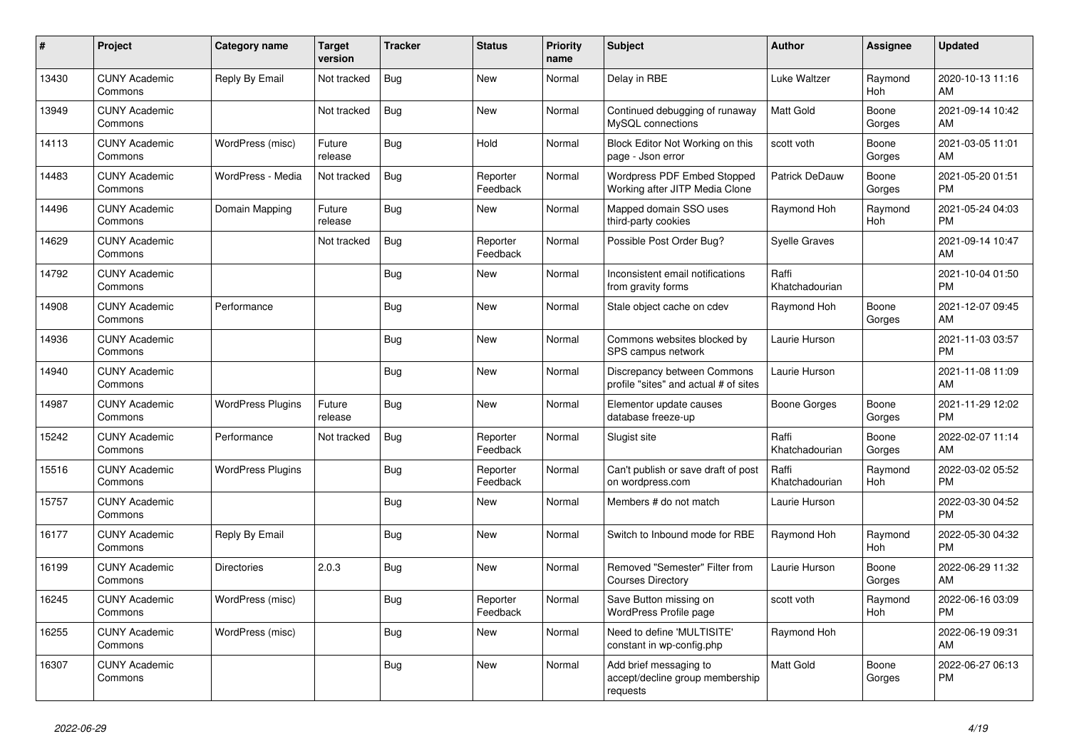| #     | <b>Project</b>                  | <b>Category name</b>     | <b>Target</b><br>version | <b>Tracker</b> | <b>Status</b>        | <b>Priority</b><br>name | <b>Subject</b>                                                        | <b>Author</b>           | <b>Assignee</b>       | <b>Updated</b>                |
|-------|---------------------------------|--------------------------|--------------------------|----------------|----------------------|-------------------------|-----------------------------------------------------------------------|-------------------------|-----------------------|-------------------------------|
| 13430 | <b>CUNY Academic</b><br>Commons | Reply By Email           | Not tracked              | <b>Bug</b>     | New                  | Normal                  | Delay in RBE                                                          | Luke Waltzer            | Raymond<br><b>Hoh</b> | 2020-10-13 11:16<br>AM        |
| 13949 | <b>CUNY Academic</b><br>Commons |                          | Not tracked              | Bug            | <b>New</b>           | Normal                  | Continued debugging of runaway<br>MySQL connections                   | <b>Matt Gold</b>        | Boone<br>Gorges       | 2021-09-14 10:42<br>AM        |
| 14113 | <b>CUNY Academic</b><br>Commons | WordPress (misc)         | Future<br>release        | Bug            | Hold                 | Normal                  | Block Editor Not Working on this<br>page - Json error                 | scott voth              | Boone<br>Gorges       | 2021-03-05 11:01<br>AM        |
| 14483 | <b>CUNY Academic</b><br>Commons | WordPress - Media        | Not tracked              | <b>Bug</b>     | Reporter<br>Feedback | Normal                  | Wordpress PDF Embed Stopped<br>Working after JITP Media Clone         | Patrick DeDauw          | Boone<br>Gorges       | 2021-05-20 01:51<br><b>PM</b> |
| 14496 | <b>CUNY Academic</b><br>Commons | Domain Mapping           | Future<br>release        | Bug            | New                  | Normal                  | Mapped domain SSO uses<br>third-party cookies                         | Raymond Hoh             | Raymond<br>Hoh        | 2021-05-24 04:03<br><b>PM</b> |
| 14629 | <b>CUNY Academic</b><br>Commons |                          | Not tracked              | Bug            | Reporter<br>Feedback | Normal                  | Possible Post Order Bug?                                              | <b>Syelle Graves</b>    |                       | 2021-09-14 10:47<br>AM        |
| 14792 | <b>CUNY Academic</b><br>Commons |                          |                          | <b>Bug</b>     | <b>New</b>           | Normal                  | Inconsistent email notifications<br>from gravity forms                | Raffi<br>Khatchadourian |                       | 2021-10-04 01:50<br><b>PM</b> |
| 14908 | <b>CUNY Academic</b><br>Commons | Performance              |                          | Bug            | <b>New</b>           | Normal                  | Stale object cache on cdev                                            | Raymond Hoh             | Boone<br>Gorges       | 2021-12-07 09:45<br>AM        |
| 14936 | <b>CUNY Academic</b><br>Commons |                          |                          | <b>Bug</b>     | New                  | Normal                  | Commons websites blocked by<br>SPS campus network                     | Laurie Hurson           |                       | 2021-11-03 03:57<br><b>PM</b> |
| 14940 | <b>CUNY Academic</b><br>Commons |                          |                          | <b>Bug</b>     | <b>New</b>           | Normal                  | Discrepancy between Commons<br>profile "sites" and actual # of sites  | Laurie Hurson           |                       | 2021-11-08 11:09<br>AM        |
| 14987 | <b>CUNY Academic</b><br>Commons | <b>WordPress Plugins</b> | Future<br>release        | Bug            | <b>New</b>           | Normal                  | Elementor update causes<br>database freeze-up                         | <b>Boone Gorges</b>     | Boone<br>Gorges       | 2021-11-29 12:02<br><b>PM</b> |
| 15242 | <b>CUNY Academic</b><br>Commons | Performance              | Not tracked              | <b>Bug</b>     | Reporter<br>Feedback | Normal                  | Slugist site                                                          | Raffi<br>Khatchadourian | Boone<br>Gorges       | 2022-02-07 11:14<br>AM        |
| 15516 | <b>CUNY Academic</b><br>Commons | <b>WordPress Plugins</b> |                          | Bug            | Reporter<br>Feedback | Normal                  | Can't publish or save draft of post<br>on wordpress.com               | Raffi<br>Khatchadourian | Raymond<br><b>Hoh</b> | 2022-03-02 05:52<br><b>PM</b> |
| 15757 | <b>CUNY Academic</b><br>Commons |                          |                          | <b>Bug</b>     | <b>New</b>           | Normal                  | Members # do not match                                                | Laurie Hurson           |                       | 2022-03-30 04:52<br><b>PM</b> |
| 16177 | <b>CUNY Academic</b><br>Commons | Reply By Email           |                          | <b>Bug</b>     | New                  | Normal                  | Switch to Inbound mode for RBE                                        | Raymond Hoh             | Raymond<br>Hoh        | 2022-05-30 04:32<br><b>PM</b> |
| 16199 | <b>CUNY Academic</b><br>Commons | <b>Directories</b>       | 2.0.3                    | <b>Bug</b>     | New                  | Normal                  | Removed "Semester" Filter from<br><b>Courses Directory</b>            | Laurie Hurson           | Boone<br>Gorges       | 2022-06-29 11:32<br>AM        |
| 16245 | <b>CUNY Academic</b><br>Commons | WordPress (misc)         |                          | Bug            | Reporter<br>Feedback | Normal                  | Save Button missing on<br>WordPress Profile page                      | scott voth              | Raymond<br>Hoh        | 2022-06-16 03:09<br><b>PM</b> |
| 16255 | <b>CUNY Academic</b><br>Commons | WordPress (misc)         |                          | <b>Bug</b>     | <b>New</b>           | Normal                  | Need to define 'MULTISITE'<br>constant in wp-config.php               | Raymond Hoh             |                       | 2022-06-19 09:31<br>AM        |
| 16307 | <b>CUNY Academic</b><br>Commons |                          |                          | <b>Bug</b>     | <b>New</b>           | Normal                  | Add brief messaging to<br>accept/decline group membership<br>requests | Matt Gold               | Boone<br>Gorges       | 2022-06-27 06:13<br><b>PM</b> |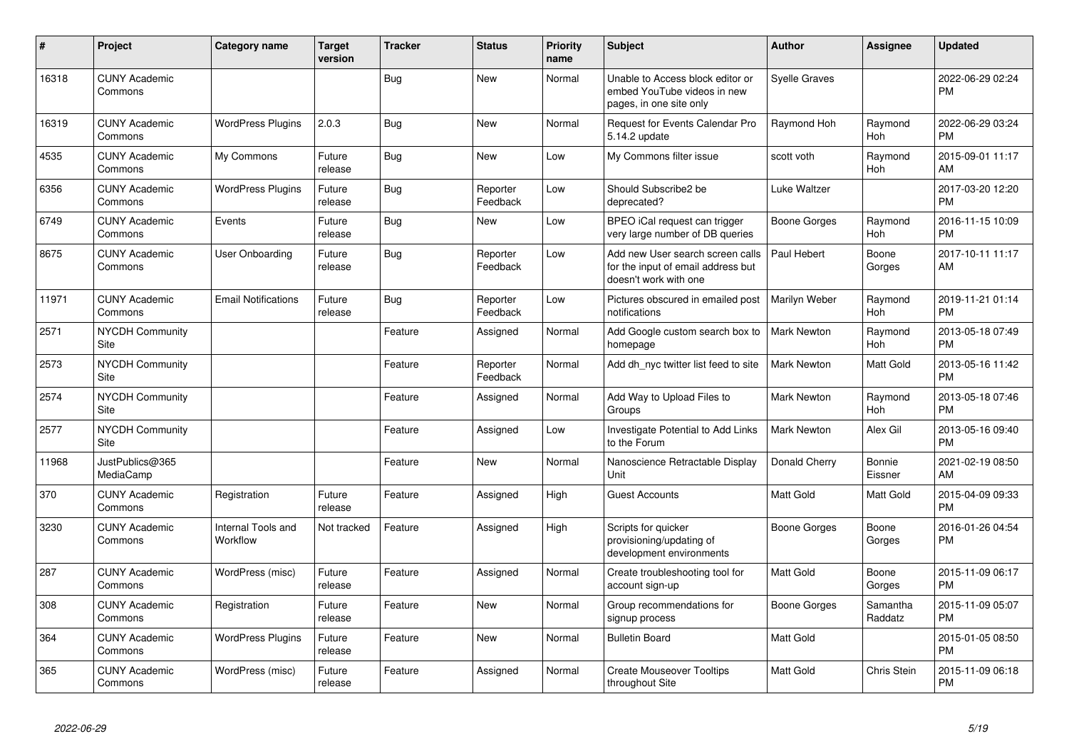| #     | Project                         | <b>Category name</b>           | <b>Target</b><br>version | <b>Tracker</b> | <b>Status</b>        | <b>Priority</b><br>name | <b>Subject</b>                                                                                  | <b>Author</b>        | <b>Assignee</b>       | <b>Updated</b>                |
|-------|---------------------------------|--------------------------------|--------------------------|----------------|----------------------|-------------------------|-------------------------------------------------------------------------------------------------|----------------------|-----------------------|-------------------------------|
| 16318 | <b>CUNY Academic</b><br>Commons |                                |                          | <b>Bug</b>     | <b>New</b>           | Normal                  | Unable to Access block editor or<br>embed YouTube videos in new<br>pages, in one site only      | <b>Syelle Graves</b> |                       | 2022-06-29 02:24<br>PM        |
| 16319 | <b>CUNY Academic</b><br>Commons | <b>WordPress Plugins</b>       | 2.0.3                    | Bug            | New                  | Normal                  | <b>Request for Events Calendar Pro</b><br>5.14.2 update                                         | Raymond Hoh          | Raymond<br><b>Hoh</b> | 2022-06-29 03:24<br><b>PM</b> |
| 4535  | <b>CUNY Academic</b><br>Commons | My Commons                     | Future<br>release        | Bug            | New                  | Low                     | My Commons filter issue                                                                         | scott voth           | Raymond<br><b>Hoh</b> | 2015-09-01 11:17<br>AM        |
| 6356  | <b>CUNY Academic</b><br>Commons | <b>WordPress Plugins</b>       | Future<br>release        | Bug            | Reporter<br>Feedback | Low                     | Should Subscribe2 be<br>deprecated?                                                             | Luke Waltzer         |                       | 2017-03-20 12:20<br><b>PM</b> |
| 6749  | <b>CUNY Academic</b><br>Commons | Events                         | Future<br>release        | Bug            | <b>New</b>           | Low                     | BPEO iCal request can trigger<br>very large number of DB queries                                | Boone Gorges         | Raymond<br><b>Hoh</b> | 2016-11-15 10:09<br>PM        |
| 8675  | <b>CUNY Academic</b><br>Commons | User Onboarding                | Future<br>release        | <b>Bug</b>     | Reporter<br>Feedback | Low                     | Add new User search screen calls<br>for the input of email address but<br>doesn't work with one | Paul Hebert          | Boone<br>Gorges       | 2017-10-11 11:17<br>AM        |
| 11971 | <b>CUNY Academic</b><br>Commons | <b>Email Notifications</b>     | Future<br>release        | Bug            | Reporter<br>Feedback | Low                     | Pictures obscured in emailed post<br>notifications                                              | Marilyn Weber        | Raymond<br><b>Hoh</b> | 2019-11-21 01:14<br><b>PM</b> |
| 2571  | NYCDH Community<br>Site         |                                |                          | Feature        | Assigned             | Normal                  | Add Google custom search box to<br>homepage                                                     | Mark Newton          | Raymond<br><b>Hoh</b> | 2013-05-18 07:49<br>PM        |
| 2573  | NYCDH Community<br>Site         |                                |                          | Feature        | Reporter<br>Feedback | Normal                  | Add dh_nyc twitter list feed to site                                                            | Mark Newton          | Matt Gold             | 2013-05-16 11:42<br><b>PM</b> |
| 2574  | NYCDH Community<br>Site         |                                |                          | Feature        | Assigned             | Normal                  | Add Way to Upload Files to<br>Groups                                                            | Mark Newton          | Raymond<br><b>Hoh</b> | 2013-05-18 07:46<br><b>PM</b> |
| 2577  | <b>NYCDH Community</b><br>Site  |                                |                          | Feature        | Assigned             | Low                     | Investigate Potential to Add Links<br>to the Forum                                              | Mark Newton          | Alex Gil              | 2013-05-16 09:40<br><b>PM</b> |
| 11968 | JustPublics@365<br>MediaCamp    |                                |                          | Feature        | New                  | Normal                  | Nanoscience Retractable Display<br>Unit                                                         | Donald Cherry        | Bonnie<br>Eissner     | 2021-02-19 08:50<br>AM        |
| 370   | <b>CUNY Academic</b><br>Commons | Registration                   | Future<br>release        | Feature        | Assigned             | High                    | <b>Guest Accounts</b>                                                                           | Matt Gold            | Matt Gold             | 2015-04-09 09:33<br><b>PM</b> |
| 3230  | <b>CUNY Academic</b><br>Commons | Internal Tools and<br>Workflow | Not tracked              | Feature        | Assigned             | High                    | Scripts for quicker<br>provisioning/updating of<br>development environments                     | Boone Gorges         | Boone<br>Gorges       | 2016-01-26 04:54<br><b>PM</b> |
| 287   | <b>CUNY Academic</b><br>Commons | WordPress (misc)               | Future<br>release        | Feature        | Assigned             | Normal                  | Create troubleshooting tool for<br>account sign-up                                              | Matt Gold            | Boone<br>Gorges       | 2015-11-09 06:17<br><b>PM</b> |
| 308   | <b>CUNY Academic</b><br>Commons | Registration                   | Future<br>release        | Feature        | <b>New</b>           | Normal                  | Group recommendations for<br>signup process                                                     | Boone Gorges         | Samantha<br>Raddatz   | 2015-11-09 05:07<br><b>PM</b> |
| 364   | <b>CUNY Academic</b><br>Commons | <b>WordPress Plugins</b>       | Future<br>release        | Feature        | <b>New</b>           | Normal                  | <b>Bulletin Board</b>                                                                           | Matt Gold            |                       | 2015-01-05 08:50<br><b>PM</b> |
| 365   | <b>CUNY Academic</b><br>Commons | WordPress (misc)               | Future<br>release        | Feature        | Assigned             | Normal                  | <b>Create Mouseover Tooltips</b><br>throughout Site                                             | Matt Gold            | Chris Stein           | 2015-11-09 06:18<br><b>PM</b> |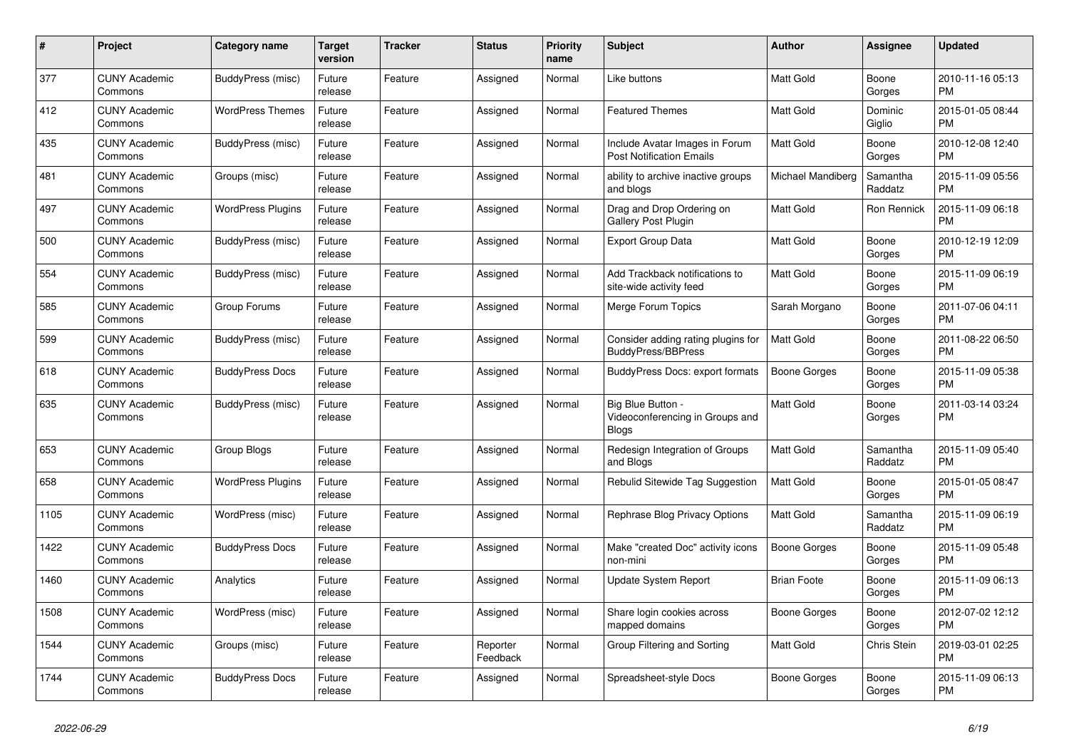| $\pmb{\#}$ | <b>Project</b>                  | <b>Category name</b>     | <b>Target</b><br>version | <b>Tracker</b> | <b>Status</b>        | <b>Priority</b><br>name | <b>Subject</b>                                                       | <b>Author</b>       | Assignee            | <b>Updated</b>                |
|------------|---------------------------------|--------------------------|--------------------------|----------------|----------------------|-------------------------|----------------------------------------------------------------------|---------------------|---------------------|-------------------------------|
| 377        | <b>CUNY Academic</b><br>Commons | BuddyPress (misc)        | Future<br>release        | Feature        | Assigned             | Normal                  | Like buttons                                                         | <b>Matt Gold</b>    | Boone<br>Gorges     | 2010-11-16 05:13<br><b>PM</b> |
| 412        | <b>CUNY Academic</b><br>Commons | <b>WordPress Themes</b>  | Future<br>release        | Feature        | Assigned             | Normal                  | <b>Featured Themes</b>                                               | Matt Gold           | Dominic<br>Giglio   | 2015-01-05 08:44<br><b>PM</b> |
| 435        | <b>CUNY Academic</b><br>Commons | BuddyPress (misc)        | Future<br>release        | Feature        | Assigned             | Normal                  | Include Avatar Images in Forum<br><b>Post Notification Emails</b>    | Matt Gold           | Boone<br>Gorges     | 2010-12-08 12:40<br><b>PM</b> |
| 481        | <b>CUNY Academic</b><br>Commons | Groups (misc)            | Future<br>release        | Feature        | Assigned             | Normal                  | ability to archive inactive groups<br>and blogs                      | Michael Mandiberg   | Samantha<br>Raddatz | 2015-11-09 05:56<br><b>PM</b> |
| 497        | <b>CUNY Academic</b><br>Commons | <b>WordPress Plugins</b> | Future<br>release        | Feature        | Assigned             | Normal                  | Drag and Drop Ordering on<br>Gallery Post Plugin                     | Matt Gold           | Ron Rennick         | 2015-11-09 06:18<br><b>PM</b> |
| 500        | <b>CUNY Academic</b><br>Commons | BuddyPress (misc)        | Future<br>release        | Feature        | Assigned             | Normal                  | <b>Export Group Data</b>                                             | Matt Gold           | Boone<br>Gorges     | 2010-12-19 12:09<br><b>PM</b> |
| 554        | <b>CUNY Academic</b><br>Commons | BuddyPress (misc)        | Future<br>release        | Feature        | Assigned             | Normal                  | Add Trackback notifications to<br>site-wide activity feed            | Matt Gold           | Boone<br>Gorges     | 2015-11-09 06:19<br><b>PM</b> |
| 585        | <b>CUNY Academic</b><br>Commons | Group Forums             | Future<br>release        | Feature        | Assigned             | Normal                  | Merge Forum Topics                                                   | Sarah Morgano       | Boone<br>Gorges     | 2011-07-06 04:11<br><b>PM</b> |
| 599        | <b>CUNY Academic</b><br>Commons | BuddyPress (misc)        | Future<br>release        | Feature        | Assigned             | Normal                  | Consider adding rating plugins for<br><b>BuddyPress/BBPress</b>      | Matt Gold           | Boone<br>Gorges     | 2011-08-22 06:50<br><b>PM</b> |
| 618        | <b>CUNY Academic</b><br>Commons | <b>BuddyPress Docs</b>   | Future<br>release        | Feature        | Assigned             | Normal                  | <b>BuddyPress Docs: export formats</b>                               | <b>Boone Gorges</b> | Boone<br>Gorges     | 2015-11-09 05:38<br><b>PM</b> |
| 635        | <b>CUNY Academic</b><br>Commons | BuddyPress (misc)        | Future<br>release        | Feature        | Assigned             | Normal                  | Big Blue Button -<br>Videoconferencing in Groups and<br><b>Blogs</b> | <b>Matt Gold</b>    | Boone<br>Gorges     | 2011-03-14 03:24<br><b>PM</b> |
| 653        | <b>CUNY Academic</b><br>Commons | Group Blogs              | Future<br>release        | Feature        | Assigned             | Normal                  | Redesign Integration of Groups<br>and Blogs                          | <b>Matt Gold</b>    | Samantha<br>Raddatz | 2015-11-09 05:40<br><b>PM</b> |
| 658        | <b>CUNY Academic</b><br>Commons | <b>WordPress Plugins</b> | Future<br>release        | Feature        | Assigned             | Normal                  | Rebulid Sitewide Tag Suggestion                                      | <b>Matt Gold</b>    | Boone<br>Gorges     | 2015-01-05 08:47<br><b>PM</b> |
| 1105       | <b>CUNY Academic</b><br>Commons | WordPress (misc)         | Future<br>release        | Feature        | Assigned             | Normal                  | Rephrase Blog Privacy Options                                        | Matt Gold           | Samantha<br>Raddatz | 2015-11-09 06:19<br><b>PM</b> |
| 1422       | <b>CUNY Academic</b><br>Commons | <b>BuddyPress Docs</b>   | Future<br>release        | Feature        | Assigned             | Normal                  | Make "created Doc" activity icons<br>non-mini                        | <b>Boone Gorges</b> | Boone<br>Gorges     | 2015-11-09 05:48<br><b>PM</b> |
| 1460       | <b>CUNY Academic</b><br>Commons | Analytics                | Future<br>release        | Feature        | Assigned             | Normal                  | Update System Report                                                 | <b>Brian Foote</b>  | Boone<br>Gorges     | 2015-11-09 06:13<br><b>PM</b> |
| 1508       | <b>CUNY Academic</b><br>Commons | WordPress (misc)         | Future<br>release        | Feature        | Assigned             | Normal                  | Share login cookies across<br>mapped domains                         | Boone Gorges        | Boone<br>Gorges     | 2012-07-02 12:12<br><b>PM</b> |
| 1544       | <b>CUNY Academic</b><br>Commons | Groups (misc)            | Future<br>release        | Feature        | Reporter<br>Feedback | Normal                  | Group Filtering and Sorting                                          | Matt Gold           | Chris Stein         | 2019-03-01 02:25<br><b>PM</b> |
| 1744       | <b>CUNY Academic</b><br>Commons | <b>BuddyPress Docs</b>   | Future<br>release        | Feature        | Assigned             | Normal                  | Spreadsheet-style Docs                                               | Boone Gorges        | Boone<br>Gorges     | 2015-11-09 06:13<br><b>PM</b> |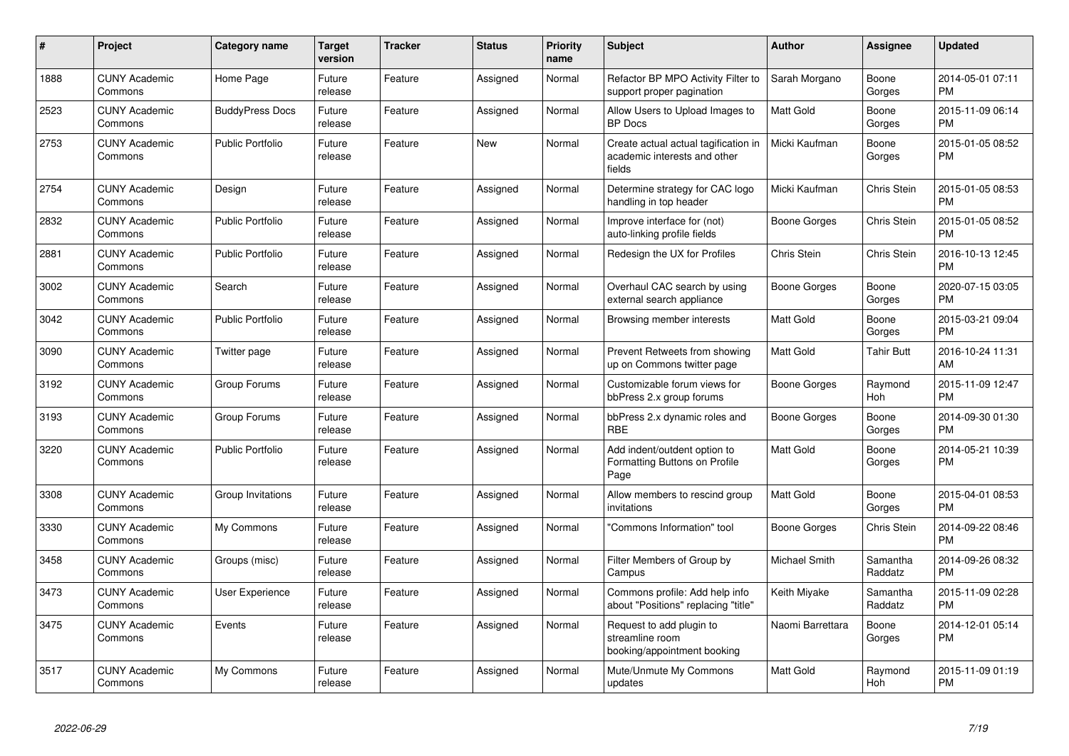| #    | Project                         | <b>Category name</b>    | <b>Target</b><br>version | <b>Tracker</b> | <b>Status</b> | <b>Priority</b><br>name | <b>Subject</b>                                                                 | <b>Author</b>    | Assignee            | <b>Updated</b>                |
|------|---------------------------------|-------------------------|--------------------------|----------------|---------------|-------------------------|--------------------------------------------------------------------------------|------------------|---------------------|-------------------------------|
| 1888 | <b>CUNY Academic</b><br>Commons | Home Page               | Future<br>release        | Feature        | Assigned      | Normal                  | Refactor BP MPO Activity Filter to<br>support proper pagination                | Sarah Morgano    | Boone<br>Gorges     | 2014-05-01 07:11<br><b>PM</b> |
| 2523 | <b>CUNY Academic</b><br>Commons | <b>BuddyPress Docs</b>  | Future<br>release        | Feature        | Assigned      | Normal                  | Allow Users to Upload Images to<br><b>BP</b> Docs                              | <b>Matt Gold</b> | Boone<br>Gorges     | 2015-11-09 06:14<br><b>PM</b> |
| 2753 | <b>CUNY Academic</b><br>Commons | Public Portfolio        | Future<br>release        | Feature        | <b>New</b>    | Normal                  | Create actual actual tagification in<br>academic interests and other<br>fields | Micki Kaufman    | Boone<br>Gorges     | 2015-01-05 08:52<br><b>PM</b> |
| 2754 | <b>CUNY Academic</b><br>Commons | Design                  | Future<br>release        | Feature        | Assigned      | Normal                  | Determine strategy for CAC logo<br>handling in top header                      | Micki Kaufman    | Chris Stein         | 2015-01-05 08:53<br><b>PM</b> |
| 2832 | <b>CUNY Academic</b><br>Commons | <b>Public Portfolio</b> | Future<br>release        | Feature        | Assigned      | Normal                  | Improve interface for (not)<br>auto-linking profile fields                     | Boone Gorges     | Chris Stein         | 2015-01-05 08:52<br><b>PM</b> |
| 2881 | <b>CUNY Academic</b><br>Commons | <b>Public Portfolio</b> | Future<br>release        | Feature        | Assigned      | Normal                  | Redesign the UX for Profiles                                                   | Chris Stein      | Chris Stein         | 2016-10-13 12:45<br><b>PM</b> |
| 3002 | <b>CUNY Academic</b><br>Commons | Search                  | Future<br>release        | Feature        | Assigned      | Normal                  | Overhaul CAC search by using<br>external search appliance                      | Boone Gorges     | Boone<br>Gorges     | 2020-07-15 03:05<br>PM        |
| 3042 | <b>CUNY Academic</b><br>Commons | <b>Public Portfolio</b> | Future<br>release        | Feature        | Assigned      | Normal                  | Browsing member interests                                                      | Matt Gold        | Boone<br>Gorges     | 2015-03-21 09:04<br><b>PM</b> |
| 3090 | <b>CUNY Academic</b><br>Commons | Twitter page            | Future<br>release        | Feature        | Assigned      | Normal                  | Prevent Retweets from showing<br>up on Commons twitter page                    | Matt Gold        | Tahir Butt          | 2016-10-24 11:31<br>AM        |
| 3192 | <b>CUNY Academic</b><br>Commons | Group Forums            | Future<br>release        | Feature        | Assigned      | Normal                  | Customizable forum views for<br>bbPress 2.x group forums                       | Boone Gorges     | Raymond<br>Hoh      | 2015-11-09 12:47<br><b>PM</b> |
| 3193 | <b>CUNY Academic</b><br>Commons | Group Forums            | Future<br>release        | Feature        | Assigned      | Normal                  | bbPress 2.x dynamic roles and<br><b>RBE</b>                                    | Boone Gorges     | Boone<br>Gorges     | 2014-09-30 01:30<br><b>PM</b> |
| 3220 | <b>CUNY Academic</b><br>Commons | <b>Public Portfolio</b> | Future<br>release        | Feature        | Assigned      | Normal                  | Add indent/outdent option to<br>Formatting Buttons on Profile<br>Page          | Matt Gold        | Boone<br>Gorges     | 2014-05-21 10:39<br><b>PM</b> |
| 3308 | <b>CUNY Academic</b><br>Commons | Group Invitations       | Future<br>release        | Feature        | Assigned      | Normal                  | Allow members to rescind group<br>invitations                                  | <b>Matt Gold</b> | Boone<br>Gorges     | 2015-04-01 08:53<br><b>PM</b> |
| 3330 | <b>CUNY Academic</b><br>Commons | My Commons              | Future<br>release        | Feature        | Assigned      | Normal                  | "Commons Information" tool                                                     | Boone Gorges     | Chris Stein         | 2014-09-22 08:46<br><b>PM</b> |
| 3458 | <b>CUNY Academic</b><br>Commons | Groups (misc)           | Future<br>release        | Feature        | Assigned      | Normal                  | Filter Members of Group by<br>Campus                                           | Michael Smith    | Samantha<br>Raddatz | 2014-09-26 08:32<br><b>PM</b> |
| 3473 | <b>CUNY Academic</b><br>Commons | User Experience         | Future<br>release        | Feature        | Assigned      | Normal                  | Commons profile: Add help info<br>about "Positions" replacing "title"          | Keith Miyake     | Samantha<br>Raddatz | 2015-11-09 02:28<br><b>PM</b> |
| 3475 | <b>CUNY Academic</b><br>Commons | Events                  | Future<br>release        | Feature        | Assigned      | Normal                  | Request to add plugin to<br>streamline room<br>booking/appointment booking     | Naomi Barrettara | Boone<br>Gorges     | 2014-12-01 05:14<br><b>PM</b> |
| 3517 | <b>CUNY Academic</b><br>Commons | My Commons              | Future<br>release        | Feature        | Assigned      | Normal                  | Mute/Unmute My Commons<br>updates                                              | Matt Gold        | Raymond<br>Hoh      | 2015-11-09 01:19<br><b>PM</b> |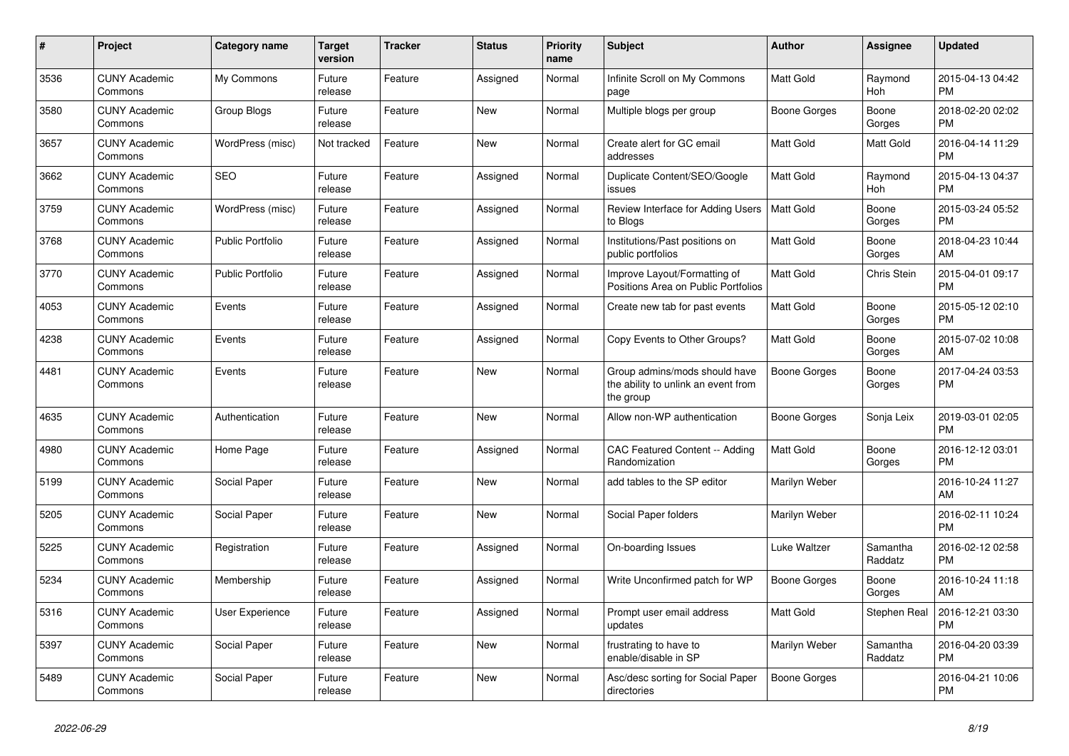| $\#$ | Project                         | <b>Category name</b>    | <b>Target</b><br>version | <b>Tracker</b> | <b>Status</b> | Priority<br>name | <b>Subject</b>                                                                    | <b>Author</b>       | <b>Assignee</b>     | <b>Updated</b>                |
|------|---------------------------------|-------------------------|--------------------------|----------------|---------------|------------------|-----------------------------------------------------------------------------------|---------------------|---------------------|-------------------------------|
| 3536 | <b>CUNY Academic</b><br>Commons | My Commons              | Future<br>release        | Feature        | Assigned      | Normal           | Infinite Scroll on My Commons<br>page                                             | Matt Gold           | Raymond<br>Hoh      | 2015-04-13 04:42<br><b>PM</b> |
| 3580 | <b>CUNY Academic</b><br>Commons | Group Blogs             | Future<br>release        | Feature        | New           | Normal           | Multiple blogs per group                                                          | Boone Gorges        | Boone<br>Gorges     | 2018-02-20 02:02<br><b>PM</b> |
| 3657 | <b>CUNY Academic</b><br>Commons | WordPress (misc)        | Not tracked              | Feature        | <b>New</b>    | Normal           | Create alert for GC email<br>addresses                                            | Matt Gold           | Matt Gold           | 2016-04-14 11:29<br><b>PM</b> |
| 3662 | <b>CUNY Academic</b><br>Commons | <b>SEO</b>              | Future<br>release        | Feature        | Assigned      | Normal           | Duplicate Content/SEO/Google<br>issues                                            | <b>Matt Gold</b>    | Raymond<br>Hoh      | 2015-04-13 04:37<br><b>PM</b> |
| 3759 | <b>CUNY Academic</b><br>Commons | WordPress (misc)        | Future<br>release        | Feature        | Assigned      | Normal           | Review Interface for Adding Users<br>to Blogs                                     | <b>Matt Gold</b>    | Boone<br>Gorges     | 2015-03-24 05:52<br><b>PM</b> |
| 3768 | <b>CUNY Academic</b><br>Commons | <b>Public Portfolio</b> | Future<br>release        | Feature        | Assigned      | Normal           | Institutions/Past positions on<br>public portfolios                               | Matt Gold           | Boone<br>Gorges     | 2018-04-23 10:44<br>AM        |
| 3770 | <b>CUNY Academic</b><br>Commons | <b>Public Portfolio</b> | Future<br>release        | Feature        | Assigned      | Normal           | Improve Layout/Formatting of<br>Positions Area on Public Portfolios               | Matt Gold           | <b>Chris Stein</b>  | 2015-04-01 09:17<br><b>PM</b> |
| 4053 | <b>CUNY Academic</b><br>Commons | Events                  | Future<br>release        | Feature        | Assigned      | Normal           | Create new tab for past events                                                    | Matt Gold           | Boone<br>Gorges     | 2015-05-12 02:10<br><b>PM</b> |
| 4238 | <b>CUNY Academic</b><br>Commons | Events                  | Future<br>release        | Feature        | Assigned      | Normal           | Copy Events to Other Groups?                                                      | Matt Gold           | Boone<br>Gorges     | 2015-07-02 10:08<br>AM        |
| 4481 | <b>CUNY Academic</b><br>Commons | Events                  | Future<br>release        | Feature        | <b>New</b>    | Normal           | Group admins/mods should have<br>the ability to unlink an event from<br>the group | Boone Gorges        | Boone<br>Gorges     | 2017-04-24 03:53<br><b>PM</b> |
| 4635 | <b>CUNY Academic</b><br>Commons | Authentication          | Future<br>release        | Feature        | <b>New</b>    | Normal           | Allow non-WP authentication                                                       | Boone Gorges        | Sonja Leix          | 2019-03-01 02:05<br><b>PM</b> |
| 4980 | <b>CUNY Academic</b><br>Commons | Home Page               | Future<br>release        | Feature        | Assigned      | Normal           | CAC Featured Content -- Adding<br>Randomization                                   | <b>Matt Gold</b>    | Boone<br>Gorges     | 2016-12-12 03:01<br><b>PM</b> |
| 5199 | <b>CUNY Academic</b><br>Commons | Social Paper            | Future<br>release        | Feature        | <b>New</b>    | Normal           | add tables to the SP editor                                                       | Marilyn Weber       |                     | 2016-10-24 11:27<br>AM        |
| 5205 | <b>CUNY Academic</b><br>Commons | Social Paper            | Future<br>release        | Feature        | <b>New</b>    | Normal           | Social Paper folders                                                              | Marilyn Weber       |                     | 2016-02-11 10:24<br><b>PM</b> |
| 5225 | <b>CUNY Academic</b><br>Commons | Registration            | Future<br>release        | Feature        | Assigned      | Normal           | On-boarding Issues                                                                | Luke Waltzer        | Samantha<br>Raddatz | 2016-02-12 02:58<br><b>PM</b> |
| 5234 | <b>CUNY Academic</b><br>Commons | Membership              | Future<br>release        | Feature        | Assigned      | Normal           | Write Unconfirmed patch for WP                                                    | <b>Boone Gorges</b> | Boone<br>Gorges     | 2016-10-24 11:18<br>AM        |
| 5316 | <b>CUNY Academic</b><br>Commons | User Experience         | Future<br>release        | Feature        | Assigned      | Normal           | Prompt user email address<br>updates                                              | Matt Gold           | Stephen Real        | 2016-12-21 03:30<br><b>PM</b> |
| 5397 | <b>CUNY Academic</b><br>Commons | Social Paper            | Future<br>release        | Feature        | New           | Normal           | frustrating to have to<br>enable/disable in SP                                    | Marilyn Weber       | Samantha<br>Raddatz | 2016-04-20 03:39<br><b>PM</b> |
| 5489 | <b>CUNY Academic</b><br>Commons | Social Paper            | Future<br>release        | Feature        | <b>New</b>    | Normal           | Asc/desc sorting for Social Paper<br>directories                                  | <b>Boone Gorges</b> |                     | 2016-04-21 10:06<br><b>PM</b> |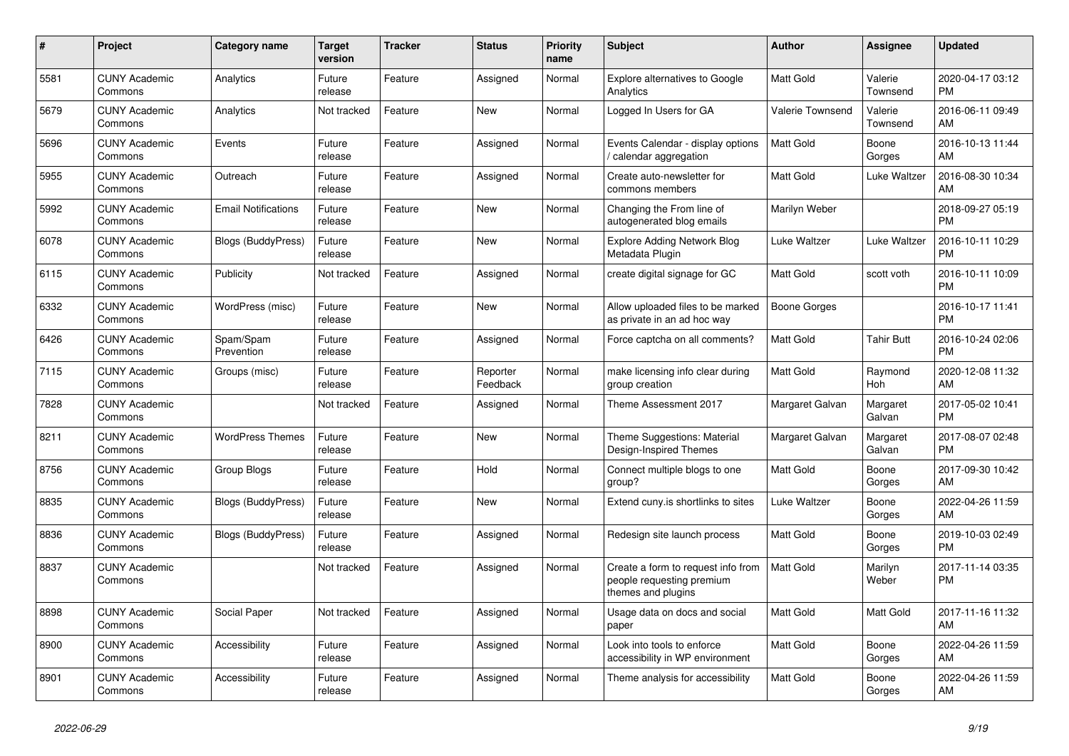| #    | Project                         | <b>Category name</b>       | <b>Target</b><br>version | <b>Tracker</b> | <b>Status</b>        | <b>Priority</b><br>name | <b>Subject</b>                                                                        | <b>Author</b>           | Assignee            | <b>Updated</b>                |
|------|---------------------------------|----------------------------|--------------------------|----------------|----------------------|-------------------------|---------------------------------------------------------------------------------------|-------------------------|---------------------|-------------------------------|
| 5581 | <b>CUNY Academic</b><br>Commons | Analytics                  | Future<br>release        | Feature        | Assigned             | Normal                  | <b>Explore alternatives to Google</b><br>Analytics                                    | <b>Matt Gold</b>        | Valerie<br>Townsend | 2020-04-17 03:12<br><b>PM</b> |
| 5679 | <b>CUNY Academic</b><br>Commons | Analytics                  | Not tracked              | Feature        | <b>New</b>           | Normal                  | Logged In Users for GA                                                                | <b>Valerie Townsend</b> | Valerie<br>Townsend | 2016-06-11 09:49<br>AM        |
| 5696 | <b>CUNY Academic</b><br>Commons | Events                     | Future<br>release        | Feature        | Assigned             | Normal                  | Events Calendar - display options<br>calendar aggregation                             | <b>Matt Gold</b>        | Boone<br>Gorges     | 2016-10-13 11:44<br>AM        |
| 5955 | <b>CUNY Academic</b><br>Commons | Outreach                   | Future<br>release        | Feature        | Assigned             | Normal                  | Create auto-newsletter for<br>commons members                                         | Matt Gold               | Luke Waltzer        | 2016-08-30 10:34<br>AM        |
| 5992 | <b>CUNY Academic</b><br>Commons | <b>Email Notifications</b> | Future<br>release        | Feature        | New                  | Normal                  | Changing the From line of<br>autogenerated blog emails                                | Marilyn Weber           |                     | 2018-09-27 05:19<br><b>PM</b> |
| 6078 | <b>CUNY Academic</b><br>Commons | Blogs (BuddyPress)         | Future<br>release        | Feature        | New                  | Normal                  | <b>Explore Adding Network Blog</b><br>Metadata Plugin                                 | Luke Waltzer            | Luke Waltzer        | 2016-10-11 10:29<br><b>PM</b> |
| 6115 | <b>CUNY Academic</b><br>Commons | Publicity                  | Not tracked              | Feature        | Assigned             | Normal                  | create digital signage for GC                                                         | <b>Matt Gold</b>        | scott voth          | 2016-10-11 10:09<br><b>PM</b> |
| 6332 | <b>CUNY Academic</b><br>Commons | WordPress (misc)           | Future<br>release        | Feature        | <b>New</b>           | Normal                  | Allow uploaded files to be marked<br>as private in an ad hoc way                      | <b>Boone Gorges</b>     |                     | 2016-10-17 11:41<br><b>PM</b> |
| 6426 | <b>CUNY Academic</b><br>Commons | Spam/Spam<br>Prevention    | Future<br>release        | Feature        | Assigned             | Normal                  | Force captcha on all comments?                                                        | Matt Gold               | Tahir Butt          | 2016-10-24 02:06<br><b>PM</b> |
| 7115 | <b>CUNY Academic</b><br>Commons | Groups (misc)              | Future<br>release        | Feature        | Reporter<br>Feedback | Normal                  | make licensing info clear during<br>group creation                                    | <b>Matt Gold</b>        | Raymond<br>Hoh      | 2020-12-08 11:32<br>AM        |
| 7828 | <b>CUNY Academic</b><br>Commons |                            | Not tracked              | Feature        | Assigned             | Normal                  | Theme Assessment 2017                                                                 | Margaret Galvan         | Margaret<br>Galvan  | 2017-05-02 10:41<br><b>PM</b> |
| 8211 | <b>CUNY Academic</b><br>Commons | <b>WordPress Themes</b>    | Future<br>release        | Feature        | New                  | Normal                  | Theme Suggestions: Material<br>Design-Inspired Themes                                 | Margaret Galvan         | Margaret<br>Galvan  | 2017-08-07 02:48<br><b>PM</b> |
| 8756 | <b>CUNY Academic</b><br>Commons | Group Blogs                | Future<br>release        | Feature        | Hold                 | Normal                  | Connect multiple blogs to one<br>group?                                               | <b>Matt Gold</b>        | Boone<br>Gorges     | 2017-09-30 10:42<br>AM        |
| 8835 | <b>CUNY Academic</b><br>Commons | <b>Blogs (BuddyPress)</b>  | Future<br>release        | Feature        | <b>New</b>           | Normal                  | Extend cuny is shortlinks to sites                                                    | Luke Waltzer            | Boone<br>Gorges     | 2022-04-26 11:59<br>AM        |
| 8836 | <b>CUNY Academic</b><br>Commons | <b>Blogs (BuddyPress)</b>  | Future<br>release        | Feature        | Assigned             | Normal                  | Redesign site launch process                                                          | Matt Gold               | Boone<br>Gorges     | 2019-10-03 02:49<br><b>PM</b> |
| 8837 | <b>CUNY Academic</b><br>Commons |                            | Not tracked              | Feature        | Assigned             | Normal                  | Create a form to request info from<br>people requesting premium<br>themes and plugins | <b>Matt Gold</b>        | Marilyn<br>Weber    | 2017-11-14 03:35<br><b>PM</b> |
| 8898 | <b>CUNY Academic</b><br>Commons | Social Paper               | Not tracked              | Feature        | Assigned             | Normal                  | Usage data on docs and social<br>paper                                                | <b>Matt Gold</b>        | Matt Gold           | 2017-11-16 11:32<br>AM        |
| 8900 | <b>CUNY Academic</b><br>Commons | Accessibility              | Future<br>release        | Feature        | Assigned             | Normal                  | Look into tools to enforce<br>accessibility in WP environment                         | Matt Gold               | Boone<br>Gorges     | 2022-04-26 11:59<br>AM        |
| 8901 | <b>CUNY Academic</b><br>Commons | Accessibility              | Future<br>release        | Feature        | Assigned             | Normal                  | Theme analysis for accessibility                                                      | <b>Matt Gold</b>        | Boone<br>Gorges     | 2022-04-26 11:59<br>AM        |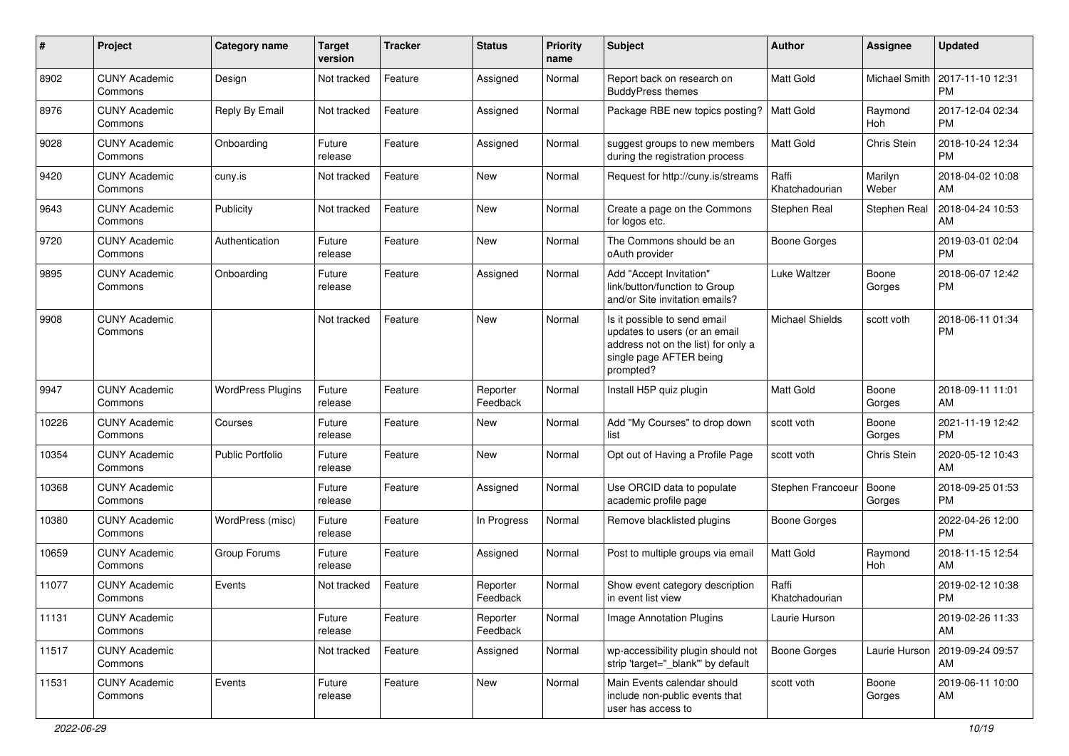| #     | Project                         | <b>Category name</b>     | <b>Target</b><br>version | <b>Tracker</b> | <b>Status</b>        | Priority<br>name | <b>Subject</b>                                                                                                                               | Author                  | <b>Assignee</b>  | <b>Updated</b>                |
|-------|---------------------------------|--------------------------|--------------------------|----------------|----------------------|------------------|----------------------------------------------------------------------------------------------------------------------------------------------|-------------------------|------------------|-------------------------------|
| 8902  | <b>CUNY Academic</b><br>Commons | Design                   | Not tracked              | Feature        | Assigned             | Normal           | Report back on research on<br><b>BuddyPress themes</b>                                                                                       | <b>Matt Gold</b>        | Michael Smith    | 2017-11-10 12:31<br><b>PM</b> |
| 8976  | <b>CUNY Academic</b><br>Commons | Reply By Email           | Not tracked              | Feature        | Assigned             | Normal           | Package RBE new topics posting?                                                                                                              | Matt Gold               | Raymond<br>Hoh   | 2017-12-04 02:34<br><b>PM</b> |
| 9028  | <b>CUNY Academic</b><br>Commons | Onboarding               | Future<br>release        | Feature        | Assigned             | Normal           | suggest groups to new members<br>during the registration process                                                                             | <b>Matt Gold</b>        | Chris Stein      | 2018-10-24 12:34<br><b>PM</b> |
| 9420  | <b>CUNY Academic</b><br>Commons | cuny.is                  | Not tracked              | Feature        | New                  | Normal           | Request for http://cuny.is/streams                                                                                                           | Raffi<br>Khatchadourian | Marilyn<br>Weber | 2018-04-02 10:08<br>AM        |
| 9643  | <b>CUNY Academic</b><br>Commons | Publicity                | Not tracked              | Feature        | <b>New</b>           | Normal           | Create a page on the Commons<br>for logos etc.                                                                                               | Stephen Real            | Stephen Real     | 2018-04-24 10:53<br>AM        |
| 9720  | <b>CUNY Academic</b><br>Commons | Authentication           | Future<br>release        | Feature        | New                  | Normal           | The Commons should be an<br>oAuth provider                                                                                                   | <b>Boone Gorges</b>     |                  | 2019-03-01 02:04<br><b>PM</b> |
| 9895  | <b>CUNY Academic</b><br>Commons | Onboarding               | Future<br>release        | Feature        | Assigned             | Normal           | Add "Accept Invitation"<br>link/button/function to Group<br>and/or Site invitation emails?                                                   | Luke Waltzer            | Boone<br>Gorges  | 2018-06-07 12:42<br><b>PM</b> |
| 9908  | <b>CUNY Academic</b><br>Commons |                          | Not tracked              | Feature        | <b>New</b>           | Normal           | Is it possible to send email<br>updates to users (or an email<br>address not on the list) for only a<br>single page AFTER being<br>prompted? | <b>Michael Shields</b>  | scott voth       | 2018-06-11 01:34<br><b>PM</b> |
| 9947  | <b>CUNY Academic</b><br>Commons | <b>WordPress Plugins</b> | Future<br>release        | Feature        | Reporter<br>Feedback | Normal           | Install H5P quiz plugin                                                                                                                      | <b>Matt Gold</b>        | Boone<br>Gorges  | 2018-09-11 11:01<br>AM        |
| 10226 | <b>CUNY Academic</b><br>Commons | Courses                  | Future<br>release        | Feature        | New                  | Normal           | Add "My Courses" to drop down<br>list                                                                                                        | scott voth              | Boone<br>Gorges  | 2021-11-19 12:42<br><b>PM</b> |
| 10354 | <b>CUNY Academic</b><br>Commons | <b>Public Portfolio</b>  | Future<br>release        | Feature        | New                  | Normal           | Opt out of Having a Profile Page                                                                                                             | scott voth              | Chris Stein      | 2020-05-12 10:43<br>AM        |
| 10368 | <b>CUNY Academic</b><br>Commons |                          | Future<br>release        | Feature        | Assigned             | Normal           | Use ORCID data to populate<br>academic profile page                                                                                          | Stephen Francoeur       | Boone<br>Gorges  | 2018-09-25 01:53<br><b>PM</b> |
| 10380 | <b>CUNY Academic</b><br>Commons | WordPress (misc)         | Future<br>release        | Feature        | In Progress          | Normal           | Remove blacklisted plugins                                                                                                                   | <b>Boone Gorges</b>     |                  | 2022-04-26 12:00<br><b>PM</b> |
| 10659 | <b>CUNY Academic</b><br>Commons | Group Forums             | Future<br>release        | Feature        | Assigned             | Normal           | Post to multiple groups via email                                                                                                            | <b>Matt Gold</b>        | Raymond<br>Hoh   | 2018-11-15 12:54<br>AM        |
| 11077 | <b>CUNY Academic</b><br>Commons | Events                   | Not tracked              | Feature        | Reporter<br>Feedback | Normal           | Show event category description<br>in event list view                                                                                        | Raffi<br>Khatchadourian |                  | 2019-02-12 10:38<br><b>PM</b> |
| 11131 | <b>CUNY Academic</b><br>Commons |                          | Future<br>release        | Feature        | Reporter<br>Feedback | Normal           | Image Annotation Plugins                                                                                                                     | Laurie Hurson           |                  | 2019-02-26 11:33<br>AM        |
| 11517 | <b>CUNY Academic</b><br>Commons |                          | Not tracked              | Feature        | Assigned             | Normal           | wp-accessibility plugin should not<br>strip 'target=" blank" by default                                                                      | Boone Gorges            | Laurie Hurson    | 2019-09-24 09:57<br>AM        |
| 11531 | <b>CUNY Academic</b><br>Commons | Events                   | Future<br>release        | Feature        | New                  | Normal           | Main Events calendar should<br>include non-public events that<br>user has access to                                                          | scott voth              | Boone<br>Gorges  | 2019-06-11 10:00<br>AM        |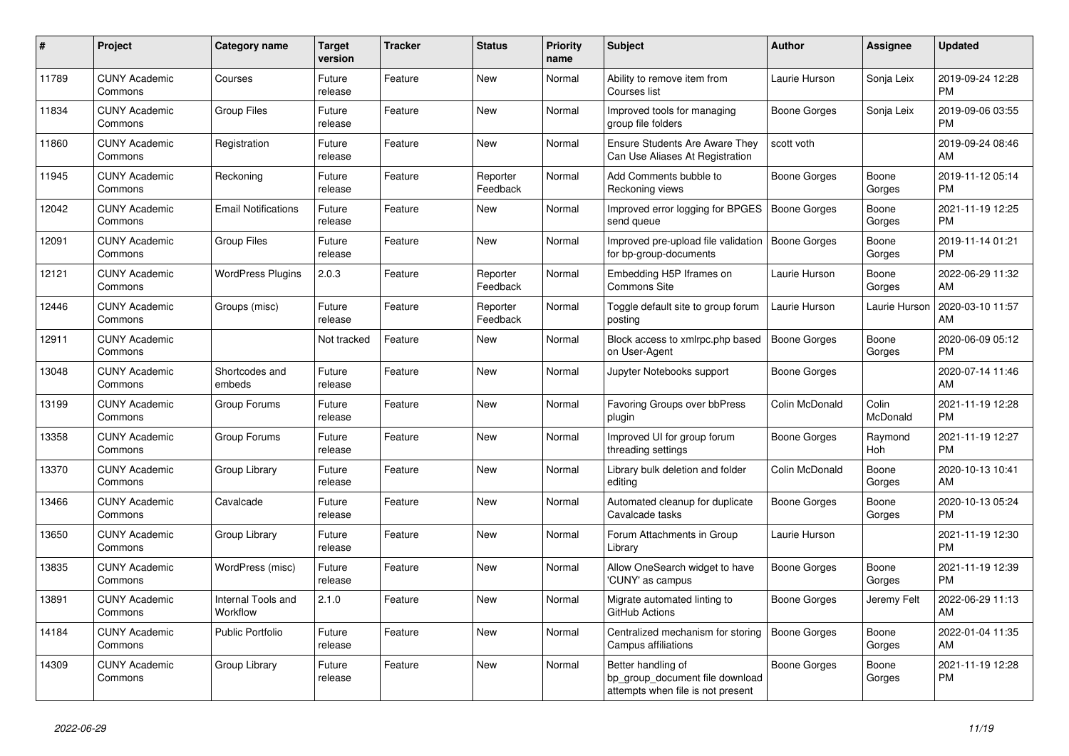| $\pmb{\#}$ | Project                         | Category name                  | <b>Target</b><br>version | Tracker | <b>Status</b>        | <b>Priority</b><br>name | <b>Subject</b>                                                                             | <b>Author</b>       | Assignee          | <b>Updated</b>                |
|------------|---------------------------------|--------------------------------|--------------------------|---------|----------------------|-------------------------|--------------------------------------------------------------------------------------------|---------------------|-------------------|-------------------------------|
| 11789      | <b>CUNY Academic</b><br>Commons | Courses                        | Future<br>release        | Feature | New                  | Normal                  | Ability to remove item from<br>Courses list                                                | Laurie Hurson       | Sonja Leix        | 2019-09-24 12:28<br><b>PM</b> |
| 11834      | <b>CUNY Academic</b><br>Commons | <b>Group Files</b>             | Future<br>release        | Feature | New                  | Normal                  | Improved tools for managing<br>group file folders                                          | Boone Gorges        | Sonja Leix        | 2019-09-06 03:55<br><b>PM</b> |
| 11860      | <b>CUNY Academic</b><br>Commons | Registration                   | Future<br>release        | Feature | New                  | Normal                  | <b>Ensure Students Are Aware They</b><br>Can Use Aliases At Registration                   | scott voth          |                   | 2019-09-24 08:46<br>AM        |
| 11945      | <b>CUNY Academic</b><br>Commons | Reckoning                      | Future<br>release        | Feature | Reporter<br>Feedback | Normal                  | Add Comments bubble to<br>Reckoning views                                                  | <b>Boone Gorges</b> | Boone<br>Gorges   | 2019-11-12 05:14<br><b>PM</b> |
| 12042      | <b>CUNY Academic</b><br>Commons | <b>Email Notifications</b>     | Future<br>release        | Feature | New                  | Normal                  | Improved error logging for BPGES<br>send queue                                             | Boone Gorges        | Boone<br>Gorges   | 2021-11-19 12:25<br><b>PM</b> |
| 12091      | <b>CUNY Academic</b><br>Commons | <b>Group Files</b>             | Future<br>release        | Feature | New                  | Normal                  | Improved pre-upload file validation<br>for bp-group-documents                              | Boone Gorges        | Boone<br>Gorges   | 2019-11-14 01:21<br><b>PM</b> |
| 12121      | <b>CUNY Academic</b><br>Commons | <b>WordPress Plugins</b>       | 2.0.3                    | Feature | Reporter<br>Feedback | Normal                  | Embedding H5P Iframes on<br>Commons Site                                                   | Laurie Hurson       | Boone<br>Gorges   | 2022-06-29 11:32<br>AM        |
| 12446      | <b>CUNY Academic</b><br>Commons | Groups (misc)                  | Future<br>release        | Feature | Reporter<br>Feedback | Normal                  | Toggle default site to group forum<br>posting                                              | Laurie Hurson       | Laurie Hurson     | 2020-03-10 11:57<br>AM        |
| 12911      | <b>CUNY Academic</b><br>Commons |                                | Not tracked              | Feature | New                  | Normal                  | Block access to xmlrpc.php based<br>on User-Agent                                          | Boone Gorges        | Boone<br>Gorges   | 2020-06-09 05:12<br><b>PM</b> |
| 13048      | <b>CUNY Academic</b><br>Commons | Shortcodes and<br>embeds       | Future<br>release        | Feature | <b>New</b>           | Normal                  | Jupyter Notebooks support                                                                  | Boone Gorges        |                   | 2020-07-14 11:46<br>AM        |
| 13199      | <b>CUNY Academic</b><br>Commons | Group Forums                   | Future<br>release        | Feature | New                  | Normal                  | <b>Favoring Groups over bbPress</b><br>plugin                                              | Colin McDonald      | Colin<br>McDonald | 2021-11-19 12:28<br><b>PM</b> |
| 13358      | <b>CUNY Academic</b><br>Commons | Group Forums                   | Future<br>release        | Feature | <b>New</b>           | Normal                  | Improved UI for group forum<br>threading settings                                          | Boone Gorges        | Raymond<br>Hoh    | 2021-11-19 12:27<br><b>PM</b> |
| 13370      | <b>CUNY Academic</b><br>Commons | Group Library                  | Future<br>release        | Feature | New                  | Normal                  | Library bulk deletion and folder<br>editing                                                | Colin McDonald      | Boone<br>Gorges   | 2020-10-13 10:41<br>AM        |
| 13466      | <b>CUNY Academic</b><br>Commons | Cavalcade                      | Future<br>release        | Feature | New                  | Normal                  | Automated cleanup for duplicate<br>Cavalcade tasks                                         | Boone Gorges        | Boone<br>Gorges   | 2020-10-13 05:24<br><b>PM</b> |
| 13650      | <b>CUNY Academic</b><br>Commons | Group Library                  | Future<br>release        | Feature | <b>New</b>           | Normal                  | Forum Attachments in Group<br>Library                                                      | Laurie Hurson       |                   | 2021-11-19 12:30<br><b>PM</b> |
| 13835      | <b>CUNY Academic</b><br>Commons | WordPress (misc)               | Future<br>release        | Feature | New                  | Normal                  | Allow OneSearch widget to have<br>'CUNY' as campus                                         | Boone Gorges        | Boone<br>Gorges   | 2021-11-19 12:39<br><b>PM</b> |
| 13891      | <b>CUNY Academic</b><br>Commons | Internal Tools and<br>Workflow | 2.1.0                    | Feature | <b>New</b>           | Normal                  | Migrate automated linting to<br>GitHub Actions                                             | Boone Gorges        | Jeremy Felt       | 2022-06-29 11:13<br>AM        |
| 14184      | <b>CUNY Academic</b><br>Commons | <b>Public Portfolio</b>        | Future<br>release        | Feature | <b>New</b>           | Normal                  | Centralized mechanism for storing<br>Campus affiliations                                   | <b>Boone Gorges</b> | Boone<br>Gorges   | 2022-01-04 11:35<br>AM        |
| 14309      | <b>CUNY Academic</b><br>Commons | Group Library                  | Future<br>release        | Feature | New                  | Normal                  | Better handling of<br>bp group document file download<br>attempts when file is not present | Boone Gorges        | Boone<br>Gorges   | 2021-11-19 12:28<br><b>PM</b> |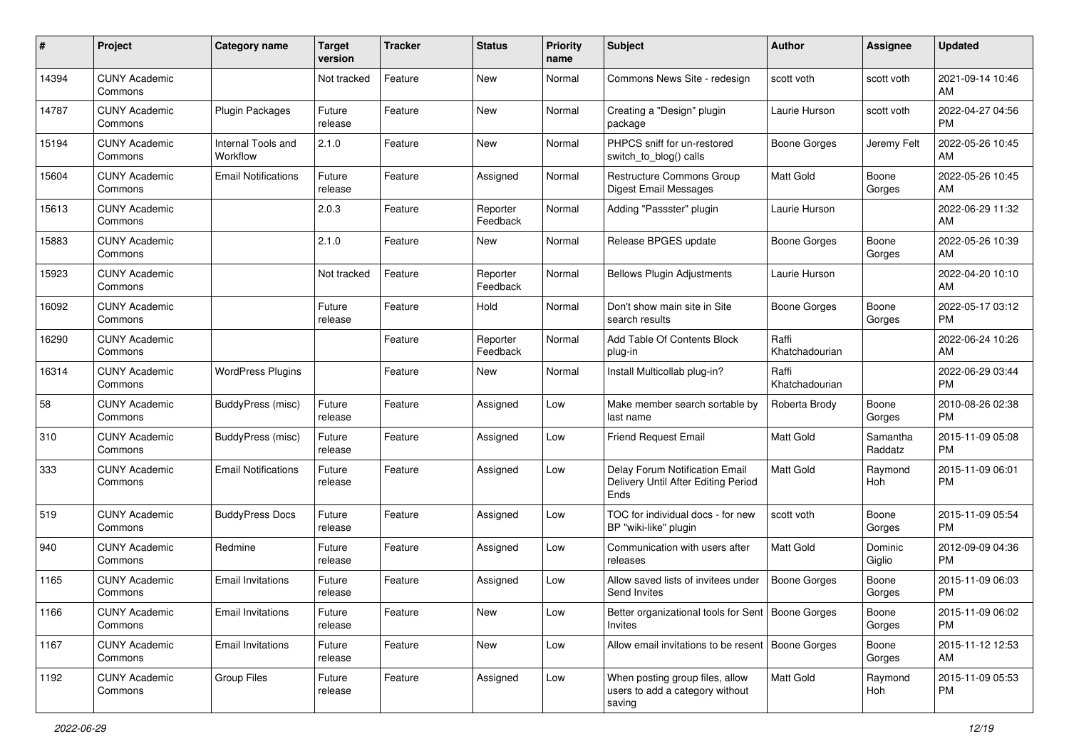| #     | Project                         | <b>Category name</b>           | <b>Target</b><br>version | Tracker | <b>Status</b>        | Priority<br>name | <b>Subject</b>                                                                | <b>Author</b>           | <b>Assignee</b>     | <b>Updated</b>                |
|-------|---------------------------------|--------------------------------|--------------------------|---------|----------------------|------------------|-------------------------------------------------------------------------------|-------------------------|---------------------|-------------------------------|
| 14394 | <b>CUNY Academic</b><br>Commons |                                | Not tracked              | Feature | <b>New</b>           | Normal           | Commons News Site - redesign                                                  | scott voth              | scott voth          | 2021-09-14 10:46<br>AM        |
| 14787 | <b>CUNY Academic</b><br>Commons | <b>Plugin Packages</b>         | Future<br>release        | Feature | New                  | Normal           | Creating a "Design" plugin<br>package                                         | Laurie Hurson           | scott voth          | 2022-04-27 04:56<br><b>PM</b> |
| 15194 | <b>CUNY Academic</b><br>Commons | Internal Tools and<br>Workflow | 2.1.0                    | Feature | New                  | Normal           | PHPCS sniff for un-restored<br>switch_to_blog() calls                         | <b>Boone Gorges</b>     | Jeremy Felt         | 2022-05-26 10:45<br>AM        |
| 15604 | <b>CUNY Academic</b><br>Commons | <b>Email Notifications</b>     | Future<br>release        | Feature | Assigned             | Normal           | <b>Restructure Commons Group</b><br><b>Digest Email Messages</b>              | <b>Matt Gold</b>        | Boone<br>Gorges     | 2022-05-26 10:45<br>AM        |
| 15613 | <b>CUNY Academic</b><br>Commons |                                | 2.0.3                    | Feature | Reporter<br>Feedback | Normal           | Adding "Passster" plugin                                                      | Laurie Hurson           |                     | 2022-06-29 11:32<br>AM        |
| 15883 | <b>CUNY Academic</b><br>Commons |                                | 2.1.0                    | Feature | New                  | Normal           | Release BPGES update                                                          | <b>Boone Gorges</b>     | Boone<br>Gorges     | 2022-05-26 10:39<br>AM        |
| 15923 | <b>CUNY Academic</b><br>Commons |                                | Not tracked              | Feature | Reporter<br>Feedback | Normal           | <b>Bellows Plugin Adjustments</b>                                             | Laurie Hurson           |                     | 2022-04-20 10:10<br>AM        |
| 16092 | <b>CUNY Academic</b><br>Commons |                                | Future<br>release        | Feature | Hold                 | Normal           | Don't show main site in Site<br>search results                                | <b>Boone Gorges</b>     | Boone<br>Gorges     | 2022-05-17 03:12<br><b>PM</b> |
| 16290 | <b>CUNY Academic</b><br>Commons |                                |                          | Feature | Reporter<br>Feedback | Normal           | Add Table Of Contents Block<br>plug-in                                        | Raffi<br>Khatchadourian |                     | 2022-06-24 10:26<br>AM        |
| 16314 | <b>CUNY Academic</b><br>Commons | <b>WordPress Plugins</b>       |                          | Feature | New                  | Normal           | Install Multicollab plug-in?                                                  | Raffi<br>Khatchadourian |                     | 2022-06-29 03:44<br><b>PM</b> |
| 58    | <b>CUNY Academic</b><br>Commons | BuddyPress (misc)              | Future<br>release        | Feature | Assigned             | Low              | Make member search sortable by<br>last name                                   | Roberta Brody           | Boone<br>Gorges     | 2010-08-26 02:38<br><b>PM</b> |
| 310   | <b>CUNY Academic</b><br>Commons | <b>BuddyPress</b> (misc)       | Future<br>release        | Feature | Assigned             | Low              | <b>Friend Request Email</b>                                                   | <b>Matt Gold</b>        | Samantha<br>Raddatz | 2015-11-09 05:08<br><b>PM</b> |
| 333   | <b>CUNY Academic</b><br>Commons | <b>Email Notifications</b>     | Future<br>release        | Feature | Assigned             | Low              | Delay Forum Notification Email<br>Delivery Until After Editing Period<br>Ends | Matt Gold               | Raymond<br>Hoh      | 2015-11-09 06:01<br><b>PM</b> |
| 519   | <b>CUNY Academic</b><br>Commons | <b>BuddyPress Docs</b>         | Future<br>release        | Feature | Assigned             | Low              | TOC for individual docs - for new<br>BP "wiki-like" plugin                    | scott voth              | Boone<br>Gorges     | 2015-11-09 05:54<br><b>PM</b> |
| 940   | <b>CUNY Academic</b><br>Commons | Redmine                        | Future<br>release        | Feature | Assigned             | Low              | Communication with users after<br>releases                                    | <b>Matt Gold</b>        | Dominic<br>Giglio   | 2012-09-09 04:36<br><b>PM</b> |
| 1165  | <b>CUNY Academic</b><br>Commons | <b>Email Invitations</b>       | Future<br>release        | Feature | Assigned             | Low              | Allow saved lists of invitees under<br>Send Invites                           | <b>Boone Gorges</b>     | Boone<br>Gorges     | 2015-11-09 06:03<br><b>PM</b> |
| 1166  | <b>CUNY Academic</b><br>Commons | <b>Email Invitations</b>       | Future<br>release        | Feature | New                  | Low              | Better organizational tools for Sent   Boone Gorges<br>Invites                |                         | Boone<br>Gorges     | 2015-11-09 06:02<br><b>PM</b> |
| 1167  | <b>CUNY Academic</b><br>Commons | <b>Email Invitations</b>       | Future<br>release        | Feature | New                  | Low              | Allow email invitations to be resent   Boone Gorges                           |                         | Boone<br>Gorges     | 2015-11-12 12:53<br>AM        |
| 1192  | <b>CUNY Academic</b><br>Commons | Group Files                    | Future<br>release        | Feature | Assigned             | Low              | When posting group files, allow<br>users to add a category without<br>saving  | <b>Matt Gold</b>        | Raymond<br>Hoh      | 2015-11-09 05:53<br>PM        |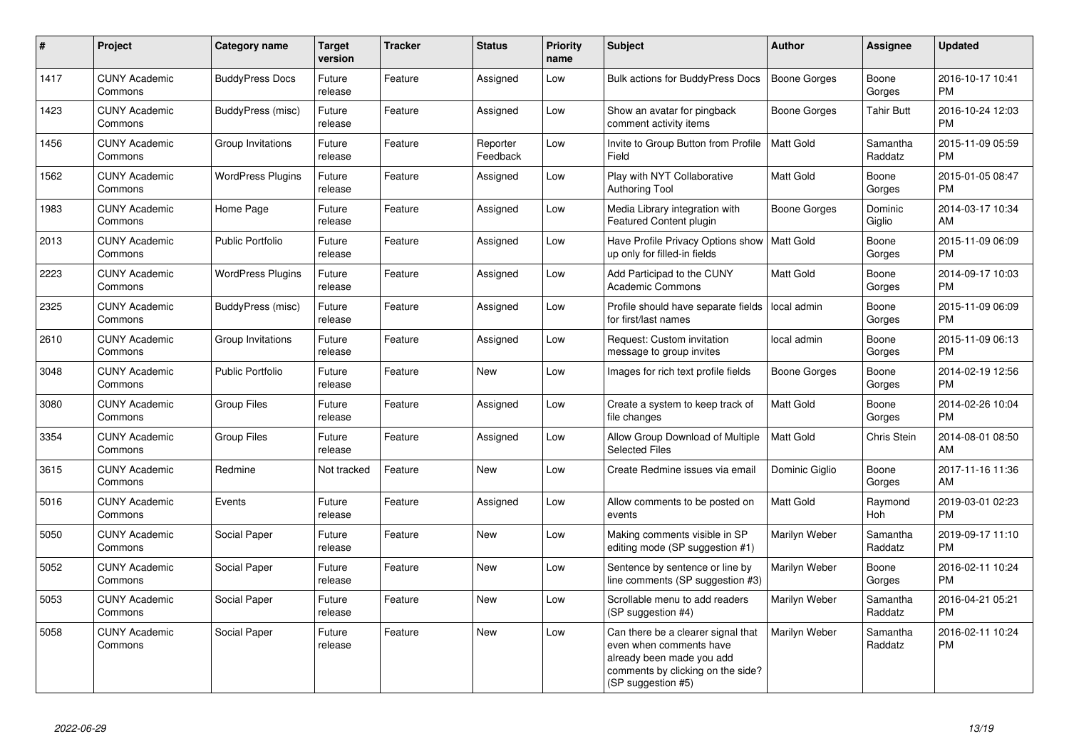| $\pmb{\sharp}$ | Project                         | <b>Category name</b>     | Target<br>version | <b>Tracker</b> | <b>Status</b>        | <b>Priority</b><br>name | <b>Subject</b>                                                                                                                                        | <b>Author</b>       | <b>Assignee</b>     | <b>Updated</b>                |
|----------------|---------------------------------|--------------------------|-------------------|----------------|----------------------|-------------------------|-------------------------------------------------------------------------------------------------------------------------------------------------------|---------------------|---------------------|-------------------------------|
| 1417           | <b>CUNY Academic</b><br>Commons | <b>BuddyPress Docs</b>   | Future<br>release | Feature        | Assigned             | Low                     | Bulk actions for BuddyPress Docs                                                                                                                      | <b>Boone Gorges</b> | Boone<br>Gorges     | 2016-10-17 10:41<br><b>PM</b> |
| 1423           | <b>CUNY Academic</b><br>Commons | BuddyPress (misc)        | Future<br>release | Feature        | Assigned             | Low                     | Show an avatar for pingback<br>comment activity items                                                                                                 | <b>Boone Gorges</b> | <b>Tahir Butt</b>   | 2016-10-24 12:03<br><b>PM</b> |
| 1456           | <b>CUNY Academic</b><br>Commons | Group Invitations        | Future<br>release | Feature        | Reporter<br>Feedback | Low                     | Invite to Group Button from Profile<br>Field                                                                                                          | Matt Gold           | Samantha<br>Raddatz | 2015-11-09 05:59<br><b>PM</b> |
| 1562           | <b>CUNY Academic</b><br>Commons | <b>WordPress Plugins</b> | Future<br>release | Feature        | Assigned             | Low                     | Play with NYT Collaborative<br>Authoring Tool                                                                                                         | Matt Gold           | Boone<br>Gorges     | 2015-01-05 08:47<br><b>PM</b> |
| 1983           | <b>CUNY Academic</b><br>Commons | Home Page                | Future<br>release | Feature        | Assigned             | Low                     | Media Library integration with<br>Featured Content plugin                                                                                             | Boone Gorges        | Dominic<br>Giglio   | 2014-03-17 10:34<br>AM        |
| 2013           | <b>CUNY Academic</b><br>Commons | <b>Public Portfolio</b>  | Future<br>release | Feature        | Assigned             | Low                     | Have Profile Privacy Options show<br>up only for filled-in fields                                                                                     | <b>Matt Gold</b>    | Boone<br>Gorges     | 2015-11-09 06:09<br><b>PM</b> |
| 2223           | <b>CUNY Academic</b><br>Commons | <b>WordPress Plugins</b> | Future<br>release | Feature        | Assigned             | Low                     | Add Participad to the CUNY<br><b>Academic Commons</b>                                                                                                 | Matt Gold           | Boone<br>Gorges     | 2014-09-17 10:03<br><b>PM</b> |
| 2325           | <b>CUNY Academic</b><br>Commons | BuddyPress (misc)        | Future<br>release | Feature        | Assigned             | Low                     | Profile should have separate fields<br>for first/last names                                                                                           | local admin         | Boone<br>Gorges     | 2015-11-09 06:09<br><b>PM</b> |
| 2610           | <b>CUNY Academic</b><br>Commons | Group Invitations        | Future<br>release | Feature        | Assigned             | Low                     | Request: Custom invitation<br>message to group invites                                                                                                | local admin         | Boone<br>Gorges     | 2015-11-09 06:13<br>PM        |
| 3048           | <b>CUNY Academic</b><br>Commons | <b>Public Portfolio</b>  | Future<br>release | Feature        | <b>New</b>           | Low                     | Images for rich text profile fields                                                                                                                   | Boone Gorges        | Boone<br>Gorges     | 2014-02-19 12:56<br>PM.       |
| 3080           | <b>CUNY Academic</b><br>Commons | <b>Group Files</b>       | Future<br>release | Feature        | Assigned             | Low                     | Create a system to keep track of<br>file changes                                                                                                      | Matt Gold           | Boone<br>Gorges     | 2014-02-26 10:04<br><b>PM</b> |
| 3354           | <b>CUNY Academic</b><br>Commons | <b>Group Files</b>       | Future<br>release | Feature        | Assigned             | Low                     | Allow Group Download of Multiple<br><b>Selected Files</b>                                                                                             | Matt Gold           | Chris Stein         | 2014-08-01 08:50<br>AM.       |
| 3615           | <b>CUNY Academic</b><br>Commons | Redmine                  | Not tracked       | Feature        | New                  | Low                     | Create Redmine issues via email                                                                                                                       | Dominic Giglio      | Boone<br>Gorges     | 2017-11-16 11:36<br>AM        |
| 5016           | <b>CUNY Academic</b><br>Commons | Events                   | Future<br>release | Feature        | Assigned             | Low                     | Allow comments to be posted on<br>events                                                                                                              | Matt Gold           | Raymond<br>Hoh      | 2019-03-01 02:23<br><b>PM</b> |
| 5050           | <b>CUNY Academic</b><br>Commons | Social Paper             | Future<br>release | Feature        | <b>New</b>           | Low                     | Making comments visible in SP<br>editing mode (SP suggestion #1)                                                                                      | Marilyn Weber       | Samantha<br>Raddatz | 2019-09-17 11:10<br><b>PM</b> |
| 5052           | <b>CUNY Academic</b><br>Commons | Social Paper             | Future<br>release | Feature        | <b>New</b>           | Low                     | Sentence by sentence or line by<br>line comments (SP suggestion #3)                                                                                   | Marilyn Weber       | Boone<br>Gorges     | 2016-02-11 10:24<br><b>PM</b> |
| 5053           | <b>CUNY Academic</b><br>Commons | Social Paper             | Future<br>release | Feature        | <b>New</b>           | Low                     | Scrollable menu to add readers<br>(SP suggestion #4)                                                                                                  | Marilyn Weber       | Samantha<br>Raddatz | 2016-04-21 05:21<br><b>PM</b> |
| 5058           | <b>CUNY Academic</b><br>Commons | Social Paper             | Future<br>release | Feature        | New                  | Low                     | Can there be a clearer signal that<br>even when comments have<br>already been made you add<br>comments by clicking on the side?<br>(SP suggestion #5) | Marilyn Weber       | Samantha<br>Raddatz | 2016-02-11 10:24<br>PM        |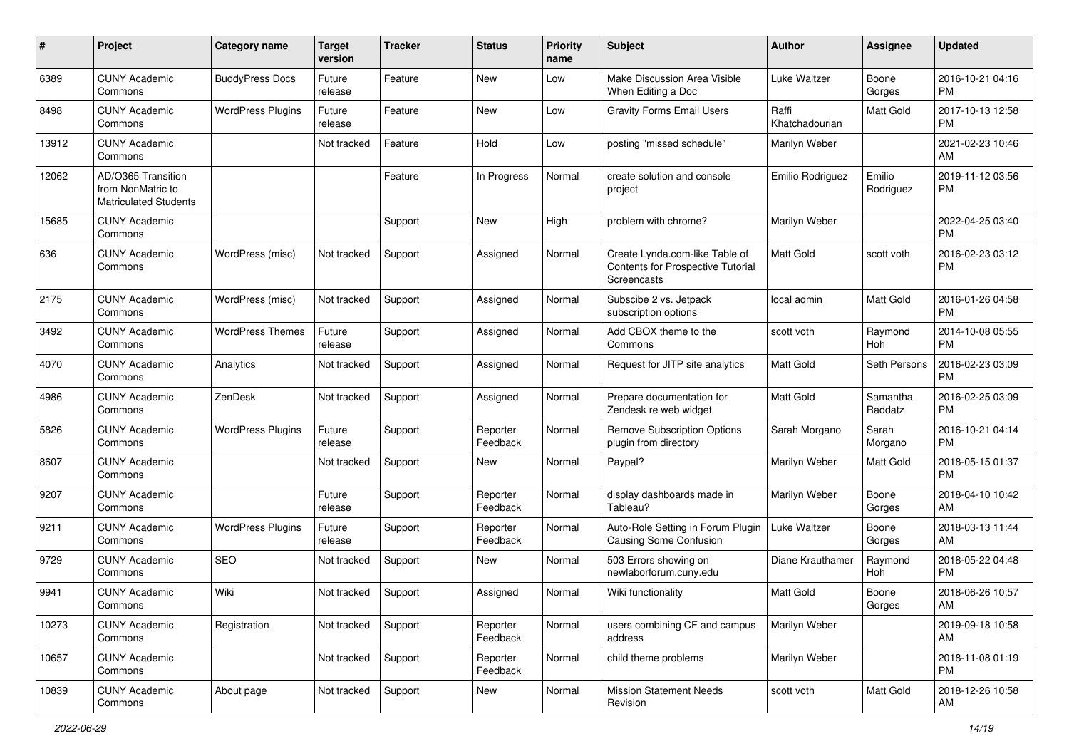| #     | Project                                                                 | Category name            | <b>Target</b><br>version | Tracker | <b>Status</b>        | <b>Priority</b><br>name | Subject                                                                            | Author                  | <b>Assignee</b>     | <b>Updated</b>                |
|-------|-------------------------------------------------------------------------|--------------------------|--------------------------|---------|----------------------|-------------------------|------------------------------------------------------------------------------------|-------------------------|---------------------|-------------------------------|
| 6389  | <b>CUNY Academic</b><br>Commons                                         | <b>BuddyPress Docs</b>   | Future<br>release        | Feature | New                  | Low                     | Make Discussion Area Visible<br>When Editing a Doc                                 | Luke Waltzer            | Boone<br>Gorges     | 2016-10-21 04:16<br><b>PM</b> |
| 8498  | <b>CUNY Academic</b><br>Commons                                         | <b>WordPress Plugins</b> | Future<br>release        | Feature | New                  | Low                     | <b>Gravity Forms Email Users</b>                                                   | Raffi<br>Khatchadourian | Matt Gold           | 2017-10-13 12:58<br><b>PM</b> |
| 13912 | <b>CUNY Academic</b><br>Commons                                         |                          | Not tracked              | Feature | Hold                 | Low                     | posting "missed schedule"                                                          | Marilyn Weber           |                     | 2021-02-23 10:46<br>AM        |
| 12062 | AD/O365 Transition<br>from NonMatric to<br><b>Matriculated Students</b> |                          |                          | Feature | In Progress          | Normal                  | create solution and console<br>project                                             | Emilio Rodriguez        | Emilio<br>Rodriguez | 2019-11-12 03:56<br>PM        |
| 15685 | <b>CUNY Academic</b><br>Commons                                         |                          |                          | Support | New                  | High                    | problem with chrome?                                                               | Marilyn Weber           |                     | 2022-04-25 03:40<br><b>PM</b> |
| 636   | <b>CUNY Academic</b><br>Commons                                         | WordPress (misc)         | Not tracked              | Support | Assigned             | Normal                  | Create Lynda.com-like Table of<br>Contents for Prospective Tutorial<br>Screencasts | <b>Matt Gold</b>        | scott voth          | 2016-02-23 03:12<br><b>PM</b> |
| 2175  | <b>CUNY Academic</b><br>Commons                                         | WordPress (misc)         | Not tracked              | Support | Assigned             | Normal                  | Subscibe 2 vs. Jetpack<br>subscription options                                     | local admin             | Matt Gold           | 2016-01-26 04:58<br><b>PM</b> |
| 3492  | <b>CUNY Academic</b><br>Commons                                         | <b>WordPress Themes</b>  | Future<br>release        | Support | Assigned             | Normal                  | Add CBOX theme to the<br>Commons                                                   | scott voth              | Raymond<br>Hoh      | 2014-10-08 05:55<br><b>PM</b> |
| 4070  | <b>CUNY Academic</b><br>Commons                                         | Analytics                | Not tracked              | Support | Assigned             | Normal                  | Request for JITP site analytics                                                    | <b>Matt Gold</b>        | Seth Persons        | 2016-02-23 03:09<br><b>PM</b> |
| 4986  | <b>CUNY Academic</b><br>Commons                                         | ZenDesk                  | Not tracked              | Support | Assigned             | Normal                  | Prepare documentation for<br>Zendesk re web widget                                 | <b>Matt Gold</b>        | Samantha<br>Raddatz | 2016-02-25 03:09<br><b>PM</b> |
| 5826  | <b>CUNY Academic</b><br>Commons                                         | <b>WordPress Plugins</b> | Future<br>release        | Support | Reporter<br>Feedback | Normal                  | <b>Remove Subscription Options</b><br>plugin from directory                        | Sarah Morgano           | Sarah<br>Morgano    | 2016-10-21 04:14<br><b>PM</b> |
| 8607  | <b>CUNY Academic</b><br>Commons                                         |                          | Not tracked              | Support | New                  | Normal                  | Paypal?                                                                            | Marilyn Weber           | Matt Gold           | 2018-05-15 01:37<br><b>PM</b> |
| 9207  | <b>CUNY Academic</b><br>Commons                                         |                          | Future<br>release        | Support | Reporter<br>Feedback | Normal                  | display dashboards made in<br>Tableau?                                             | Marilyn Weber           | Boone<br>Gorges     | 2018-04-10 10:42<br>AM        |
| 9211  | <b>CUNY Academic</b><br>Commons                                         | <b>WordPress Plugins</b> | Future<br>release        | Support | Reporter<br>Feedback | Normal                  | Auto-Role Setting in Forum Plugin<br>Causing Some Confusion                        | Luke Waltzer            | Boone<br>Gorges     | 2018-03-13 11:44<br>AM        |
| 9729  | <b>CUNY Academic</b><br>Commons                                         | <b>SEO</b>               | Not tracked              | Support | New                  | Normal                  | 503 Errors showing on<br>newlaborforum.cuny.edu                                    | Diane Krauthamer        | Raymond<br>Hoh      | 2018-05-22 04:48<br><b>PM</b> |
| 9941  | <b>CUNY Academic</b><br>Commons                                         | Wiki                     | Not tracked              | Support | Assigned             | Normal                  | Wiki functionality                                                                 | <b>Matt Gold</b>        | Boone<br>Gorges     | 2018-06-26 10:57<br>AM        |
| 10273 | <b>CUNY Academic</b><br>Commons                                         | Registration             | Not tracked              | Support | Reporter<br>Feedback | Normal                  | users combining CF and campus<br>address                                           | Marilyn Weber           |                     | 2019-09-18 10:58<br>AM        |
| 10657 | <b>CUNY Academic</b><br>Commons                                         |                          | Not tracked              | Support | Reporter<br>Feedback | Normal                  | child theme problems                                                               | Marilyn Weber           |                     | 2018-11-08 01:19<br><b>PM</b> |
| 10839 | <b>CUNY Academic</b><br>Commons                                         | About page               | Not tracked              | Support | New                  | Normal                  | <b>Mission Statement Needs</b><br>Revision                                         | scott voth              | Matt Gold           | 2018-12-26 10:58<br>AM        |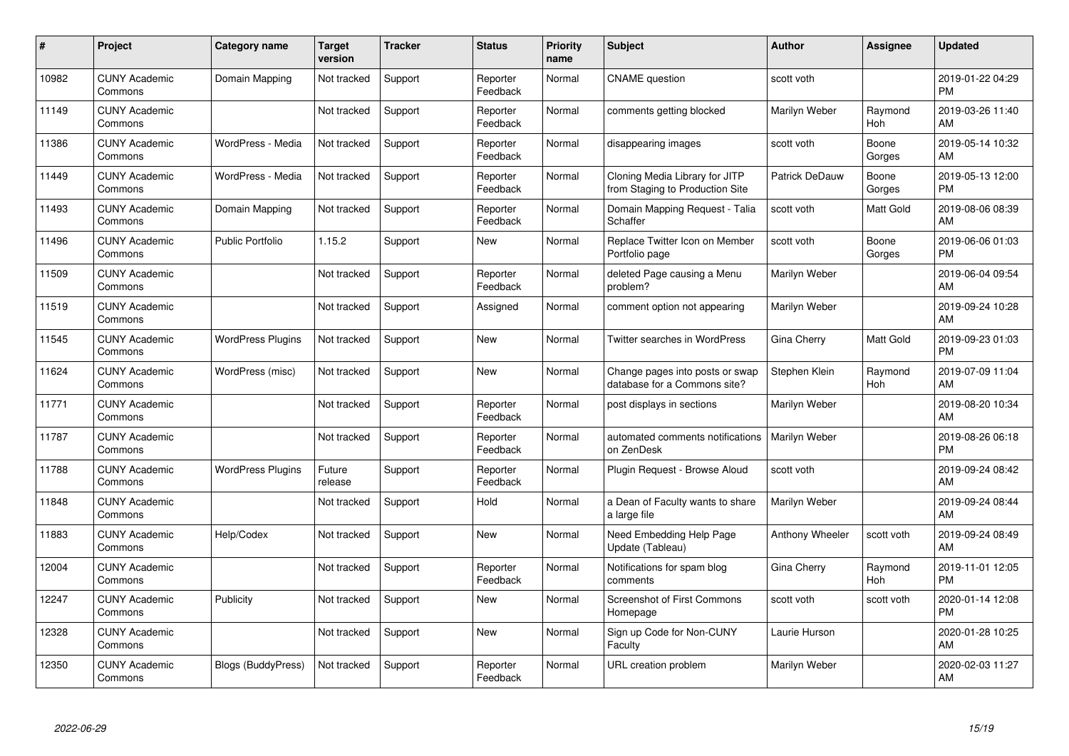| #     | Project                         | <b>Category name</b>      | <b>Target</b><br>version | <b>Tracker</b> | <b>Status</b>        | <b>Priority</b><br>name | <b>Subject</b>                                                    | <b>Author</b>         | <b>Assignee</b> | <b>Updated</b>                |
|-------|---------------------------------|---------------------------|--------------------------|----------------|----------------------|-------------------------|-------------------------------------------------------------------|-----------------------|-----------------|-------------------------------|
| 10982 | <b>CUNY Academic</b><br>Commons | Domain Mapping            | Not tracked              | Support        | Reporter<br>Feedback | Normal                  | <b>CNAME</b> question                                             | scott voth            |                 | 2019-01-22 04:29<br><b>PM</b> |
| 11149 | <b>CUNY Academic</b><br>Commons |                           | Not tracked              | Support        | Reporter<br>Feedback | Normal                  | comments getting blocked                                          | Marilyn Weber         | Raymond<br>Hoh  | 2019-03-26 11:40<br>AM        |
| 11386 | <b>CUNY Academic</b><br>Commons | WordPress - Media         | Not tracked              | Support        | Reporter<br>Feedback | Normal                  | disappearing images                                               | scott voth            | Boone<br>Gorges | 2019-05-14 10:32<br>AM        |
| 11449 | <b>CUNY Academic</b><br>Commons | WordPress - Media         | Not tracked              | Support        | Reporter<br>Feedback | Normal                  | Cloning Media Library for JITP<br>from Staging to Production Site | <b>Patrick DeDauw</b> | Boone<br>Gorges | 2019-05-13 12:00<br><b>PM</b> |
| 11493 | <b>CUNY Academic</b><br>Commons | Domain Mapping            | Not tracked              | Support        | Reporter<br>Feedback | Normal                  | Domain Mapping Request - Talia<br>Schaffer                        | scott voth            | Matt Gold       | 2019-08-06 08:39<br>AM        |
| 11496 | <b>CUNY Academic</b><br>Commons | <b>Public Portfolio</b>   | 1.15.2                   | Support        | <b>New</b>           | Normal                  | Replace Twitter Icon on Member<br>Portfolio page                  | scott voth            | Boone<br>Gorges | 2019-06-06 01:03<br><b>PM</b> |
| 11509 | <b>CUNY Academic</b><br>Commons |                           | Not tracked              | Support        | Reporter<br>Feedback | Normal                  | deleted Page causing a Menu<br>problem?                           | Marilyn Weber         |                 | 2019-06-04 09:54<br>AM        |
| 11519 | <b>CUNY Academic</b><br>Commons |                           | Not tracked              | Support        | Assigned             | Normal                  | comment option not appearing                                      | Marilyn Weber         |                 | 2019-09-24 10:28<br>AM        |
| 11545 | <b>CUNY Academic</b><br>Commons | <b>WordPress Plugins</b>  | Not tracked              | Support        | New                  | Normal                  | Twitter searches in WordPress                                     | Gina Cherry           | Matt Gold       | 2019-09-23 01:03<br><b>PM</b> |
| 11624 | <b>CUNY Academic</b><br>Commons | WordPress (misc)          | Not tracked              | Support        | New                  | Normal                  | Change pages into posts or swap<br>database for a Commons site?   | Stephen Klein         | Raymond<br>Hoh  | 2019-07-09 11:04<br>AM        |
| 11771 | <b>CUNY Academic</b><br>Commons |                           | Not tracked              | Support        | Reporter<br>Feedback | Normal                  | post displays in sections                                         | Marilyn Weber         |                 | 2019-08-20 10:34<br>AM        |
| 11787 | <b>CUNY Academic</b><br>Commons |                           | Not tracked              | Support        | Reporter<br>Feedback | Normal                  | automated comments notifications<br>on ZenDesk                    | <b>Marilyn Weber</b>  |                 | 2019-08-26 06:18<br><b>PM</b> |
| 11788 | <b>CUNY Academic</b><br>Commons | <b>WordPress Plugins</b>  | Future<br>release        | Support        | Reporter<br>Feedback | Normal                  | Plugin Request - Browse Aloud                                     | scott voth            |                 | 2019-09-24 08:42<br>AM        |
| 11848 | <b>CUNY Academic</b><br>Commons |                           | Not tracked              | Support        | Hold                 | Normal                  | a Dean of Faculty wants to share<br>a large file                  | Marilyn Weber         |                 | 2019-09-24 08:44<br>AM        |
| 11883 | <b>CUNY Academic</b><br>Commons | Help/Codex                | Not tracked              | Support        | <b>New</b>           | Normal                  | Need Embedding Help Page<br>Update (Tableau)                      | Anthony Wheeler       | scott voth      | 2019-09-24 08:49<br>AM        |
| 12004 | <b>CUNY Academic</b><br>Commons |                           | Not tracked              | Support        | Reporter<br>Feedback | Normal                  | Notifications for spam blog<br>comments                           | Gina Cherry           | Raymond<br>Hoh  | 2019-11-01 12:05<br><b>PM</b> |
| 12247 | <b>CUNY Academic</b><br>Commons | Publicity                 | Not tracked              | Support        | New                  | Normal                  | <b>Screenshot of First Commons</b><br>Homepage                    | scott voth            | scott voth      | 2020-01-14 12:08<br><b>PM</b> |
| 12328 | <b>CUNY Academic</b><br>Commons |                           | Not tracked              | Support        | <b>New</b>           | Normal                  | Sign up Code for Non-CUNY<br>Faculty                              | Laurie Hurson         |                 | 2020-01-28 10:25<br>AM        |
| 12350 | <b>CUNY Academic</b><br>Commons | <b>Blogs (BuddyPress)</b> | Not tracked              | Support        | Reporter<br>Feedback | Normal                  | URL creation problem                                              | Marilyn Weber         |                 | 2020-02-03 11:27<br>AM        |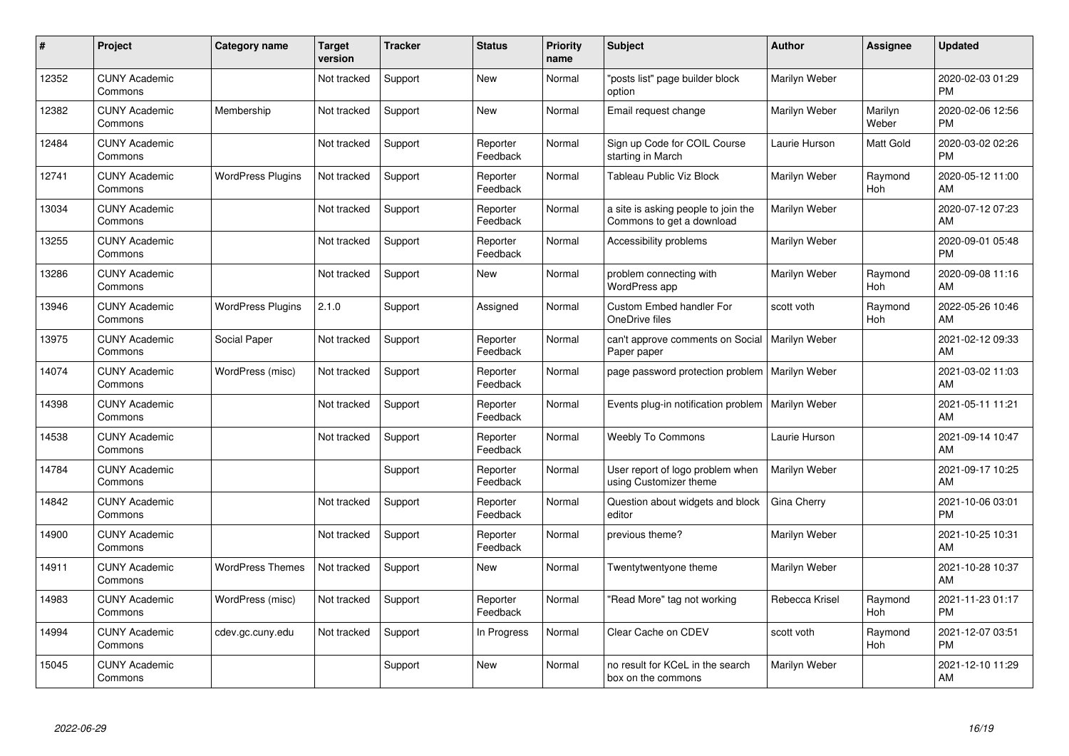| #     | Project                         | Category name            | <b>Target</b><br>version | <b>Tracker</b> | <b>Status</b>        | Priority<br>name | <b>Subject</b>                                                   | <b>Author</b>  | <b>Assignee</b>  | <b>Updated</b>                |
|-------|---------------------------------|--------------------------|--------------------------|----------------|----------------------|------------------|------------------------------------------------------------------|----------------|------------------|-------------------------------|
| 12352 | <b>CUNY Academic</b><br>Commons |                          | Not tracked              | Support        | <b>New</b>           | Normal           | "posts list" page builder block<br>option                        | Marilyn Weber  |                  | 2020-02-03 01:29<br><b>PM</b> |
| 12382 | <b>CUNY Academic</b><br>Commons | Membership               | Not tracked              | Support        | <b>New</b>           | Normal           | Email request change                                             | Marilyn Weber  | Marilyn<br>Weber | 2020-02-06 12:56<br><b>PM</b> |
| 12484 | <b>CUNY Academic</b><br>Commons |                          | Not tracked              | Support        | Reporter<br>Feedback | Normal           | Sign up Code for COIL Course<br>starting in March                | Laurie Hurson  | Matt Gold        | 2020-03-02 02:26<br><b>PM</b> |
| 12741 | <b>CUNY Academic</b><br>Commons | <b>WordPress Plugins</b> | Not tracked              | Support        | Reporter<br>Feedback | Normal           | Tableau Public Viz Block                                         | Marilyn Weber  | Raymond<br>Hoh   | 2020-05-12 11:00<br>AM        |
| 13034 | <b>CUNY Academic</b><br>Commons |                          | Not tracked              | Support        | Reporter<br>Feedback | Normal           | a site is asking people to join the<br>Commons to get a download | Marilyn Weber  |                  | 2020-07-12 07:23<br>AM        |
| 13255 | <b>CUNY Academic</b><br>Commons |                          | Not tracked              | Support        | Reporter<br>Feedback | Normal           | Accessibility problems                                           | Marilyn Weber  |                  | 2020-09-01 05:48<br><b>PM</b> |
| 13286 | <b>CUNY Academic</b><br>Commons |                          | Not tracked              | Support        | <b>New</b>           | Normal           | problem connecting with<br>WordPress app                         | Marilyn Weber  | Raymond<br>Hoh   | 2020-09-08 11:16<br>AM        |
| 13946 | <b>CUNY Academic</b><br>Commons | <b>WordPress Plugins</b> | 2.1.0                    | Support        | Assigned             | Normal           | <b>Custom Embed handler For</b><br>OneDrive files                | scott voth     | Raymond<br>Hoh   | 2022-05-26 10:46<br>AM        |
| 13975 | <b>CUNY Academic</b><br>Commons | Social Paper             | Not tracked              | Support        | Reporter<br>Feedback | Normal           | can't approve comments on Social   Marilyn Weber<br>Paper paper  |                |                  | 2021-02-12 09:33<br>AM        |
| 14074 | <b>CUNY Academic</b><br>Commons | WordPress (misc)         | Not tracked              | Support        | Reporter<br>Feedback | Normal           | page password protection problem                                 | Marilyn Weber  |                  | 2021-03-02 11:03<br>AM        |
| 14398 | <b>CUNY Academic</b><br>Commons |                          | Not tracked              | Support        | Reporter<br>Feedback | Normal           | Events plug-in notification problem                              | Marilyn Weber  |                  | 2021-05-11 11:21<br>AM        |
| 14538 | <b>CUNY Academic</b><br>Commons |                          | Not tracked              | Support        | Reporter<br>Feedback | Normal           | <b>Weebly To Commons</b>                                         | Laurie Hurson  |                  | 2021-09-14 10:47<br>AM        |
| 14784 | <b>CUNY Academic</b><br>Commons |                          |                          | Support        | Reporter<br>Feedback | Normal           | User report of logo problem when<br>using Customizer theme       | Marilyn Weber  |                  | 2021-09-17 10:25<br>AM        |
| 14842 | <b>CUNY Academic</b><br>Commons |                          | Not tracked              | Support        | Reporter<br>Feedback | Normal           | Question about widgets and block<br>editor                       | Gina Cherry    |                  | 2021-10-06 03:01<br><b>PM</b> |
| 14900 | <b>CUNY Academic</b><br>Commons |                          | Not tracked              | Support        | Reporter<br>Feedback | Normal           | previous theme?                                                  | Marilyn Weber  |                  | 2021-10-25 10:31<br>AM        |
| 14911 | <b>CUNY Academic</b><br>Commons | <b>WordPress Themes</b>  | Not tracked              | Support        | <b>New</b>           | Normal           | Twentytwentyone theme                                            | Marilyn Weber  |                  | 2021-10-28 10:37<br>AM        |
| 14983 | <b>CUNY Academic</b><br>Commons | WordPress (misc)         | Not tracked              | Support        | Reporter<br>Feedback | Normal           | 'Read More" tag not working                                      | Rebecca Krisel | Raymond<br>Hoh   | 2021-11-23 01:17<br><b>PM</b> |
| 14994 | <b>CUNY Academic</b><br>Commons | cdev.gc.cuny.edu         | Not tracked              | Support        | In Progress          | Normal           | Clear Cache on CDEV                                              | scott voth     | Raymond<br>Hoh   | 2021-12-07 03:51<br><b>PM</b> |
| 15045 | <b>CUNY Academic</b><br>Commons |                          |                          | Support        | <b>New</b>           | Normal           | no result for KCeL in the search<br>box on the commons           | Marilyn Weber  |                  | 2021-12-10 11:29<br>AM        |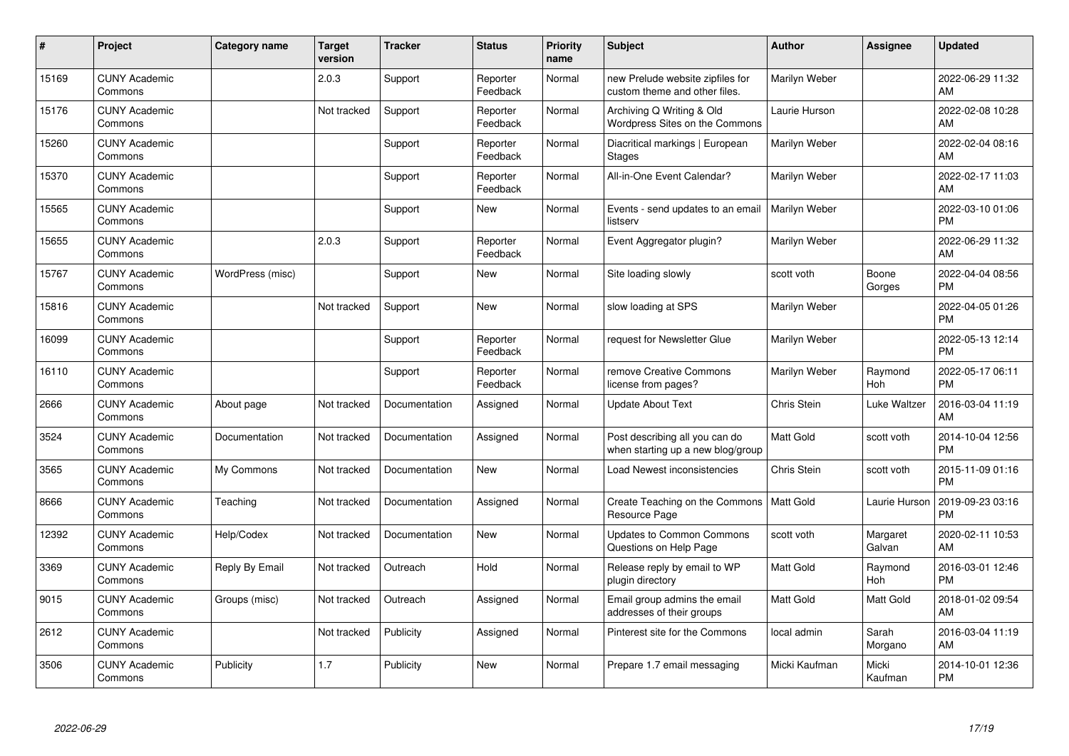| #     | Project                         | Category name    | <b>Target</b><br>version | <b>Tracker</b> | <b>Status</b>        | <b>Priority</b><br>name | <b>Subject</b>                                                      | <b>Author</b>    | <b>Assignee</b>    | <b>Updated</b>                |
|-------|---------------------------------|------------------|--------------------------|----------------|----------------------|-------------------------|---------------------------------------------------------------------|------------------|--------------------|-------------------------------|
| 15169 | <b>CUNY Academic</b><br>Commons |                  | 2.0.3                    | Support        | Reporter<br>Feedback | Normal                  | new Prelude website zipfiles for<br>custom theme and other files.   | Marilyn Weber    |                    | 2022-06-29 11:32<br>AM        |
| 15176 | <b>CUNY Academic</b><br>Commons |                  | Not tracked              | Support        | Reporter<br>Feedback | Normal                  | Archiving Q Writing & Old<br>Wordpress Sites on the Commons         | Laurie Hurson    |                    | 2022-02-08 10:28<br>AM        |
| 15260 | <b>CUNY Academic</b><br>Commons |                  |                          | Support        | Reporter<br>Feedback | Normal                  | Diacritical markings   European<br><b>Stages</b>                    | Marilyn Weber    |                    | 2022-02-04 08:16<br>AM        |
| 15370 | <b>CUNY Academic</b><br>Commons |                  |                          | Support        | Reporter<br>Feedback | Normal                  | All-in-One Event Calendar?                                          | Marilyn Weber    |                    | 2022-02-17 11:03<br>AM        |
| 15565 | <b>CUNY Academic</b><br>Commons |                  |                          | Support        | <b>New</b>           | Normal                  | Events - send updates to an email<br>listserv                       | Marilyn Weber    |                    | 2022-03-10 01:06<br><b>PM</b> |
| 15655 | <b>CUNY Academic</b><br>Commons |                  | 2.0.3                    | Support        | Reporter<br>Feedback | Normal                  | Event Aggregator plugin?                                            | Marilyn Weber    |                    | 2022-06-29 11:32<br>AM        |
| 15767 | <b>CUNY Academic</b><br>Commons | WordPress (misc) |                          | Support        | <b>New</b>           | Normal                  | Site loading slowly                                                 | scott voth       | Boone<br>Gorges    | 2022-04-04 08:56<br><b>PM</b> |
| 15816 | <b>CUNY Academic</b><br>Commons |                  | Not tracked              | Support        | <b>New</b>           | Normal                  | slow loading at SPS                                                 | Marilyn Weber    |                    | 2022-04-05 01:26<br><b>PM</b> |
| 16099 | <b>CUNY Academic</b><br>Commons |                  |                          | Support        | Reporter<br>Feedback | Normal                  | request for Newsletter Glue                                         | Marilyn Weber    |                    | 2022-05-13 12:14<br><b>PM</b> |
| 16110 | <b>CUNY Academic</b><br>Commons |                  |                          | Support        | Reporter<br>Feedback | Normal                  | remove Creative Commons<br>license from pages?                      | Marilyn Weber    | Raymond<br>Hoh     | 2022-05-17 06:11<br><b>PM</b> |
| 2666  | <b>CUNY Academic</b><br>Commons | About page       | Not tracked              | Documentation  | Assigned             | Normal                  | <b>Update About Text</b>                                            | Chris Stein      | Luke Waltzer       | 2016-03-04 11:19<br>AM        |
| 3524  | <b>CUNY Academic</b><br>Commons | Documentation    | Not tracked              | Documentation  | Assigned             | Normal                  | Post describing all you can do<br>when starting up a new blog/group | Matt Gold        | scott voth         | 2014-10-04 12:56<br><b>PM</b> |
| 3565  | <b>CUNY Academic</b><br>Commons | My Commons       | Not tracked              | Documentation  | <b>New</b>           | Normal                  | Load Newest inconsistencies                                         | Chris Stein      | scott voth         | 2015-11-09 01:16<br><b>PM</b> |
| 8666  | <b>CUNY Academic</b><br>Commons | Teaching         | Not tracked              | Documentation  | Assigned             | Normal                  | Create Teaching on the Commons<br>Resource Page                     | Matt Gold        | Laurie Hurson      | 2019-09-23 03:16<br><b>PM</b> |
| 12392 | <b>CUNY Academic</b><br>Commons | Help/Codex       | Not tracked              | Documentation  | <b>New</b>           | Normal                  | Updates to Common Commons<br>Questions on Help Page                 | scott voth       | Margaret<br>Galvan | 2020-02-11 10:53<br>AM        |
| 3369  | <b>CUNY Academic</b><br>Commons | Reply By Email   | Not tracked              | Outreach       | Hold                 | Normal                  | Release reply by email to WP<br>plugin directory                    | Matt Gold        | Raymond<br>Hoh     | 2016-03-01 12:46<br><b>PM</b> |
| 9015  | <b>CUNY Academic</b><br>Commons | Groups (misc)    | Not tracked              | Outreach       | Assigned             | Normal                  | Email group admins the email<br>addresses of their groups           | <b>Matt Gold</b> | Matt Gold          | 2018-01-02 09:54<br>AM        |
| 2612  | <b>CUNY Academic</b><br>Commons |                  | Not tracked              | Publicity      | Assigned             | Normal                  | Pinterest site for the Commons                                      | local admin      | Sarah<br>Morgano   | 2016-03-04 11:19<br>AM        |
| 3506  | <b>CUNY Academic</b><br>Commons | Publicity        | 1.7                      | Publicity      | <b>New</b>           | Normal                  | Prepare 1.7 email messaging                                         | Micki Kaufman    | Micki<br>Kaufman   | 2014-10-01 12:36<br>PM        |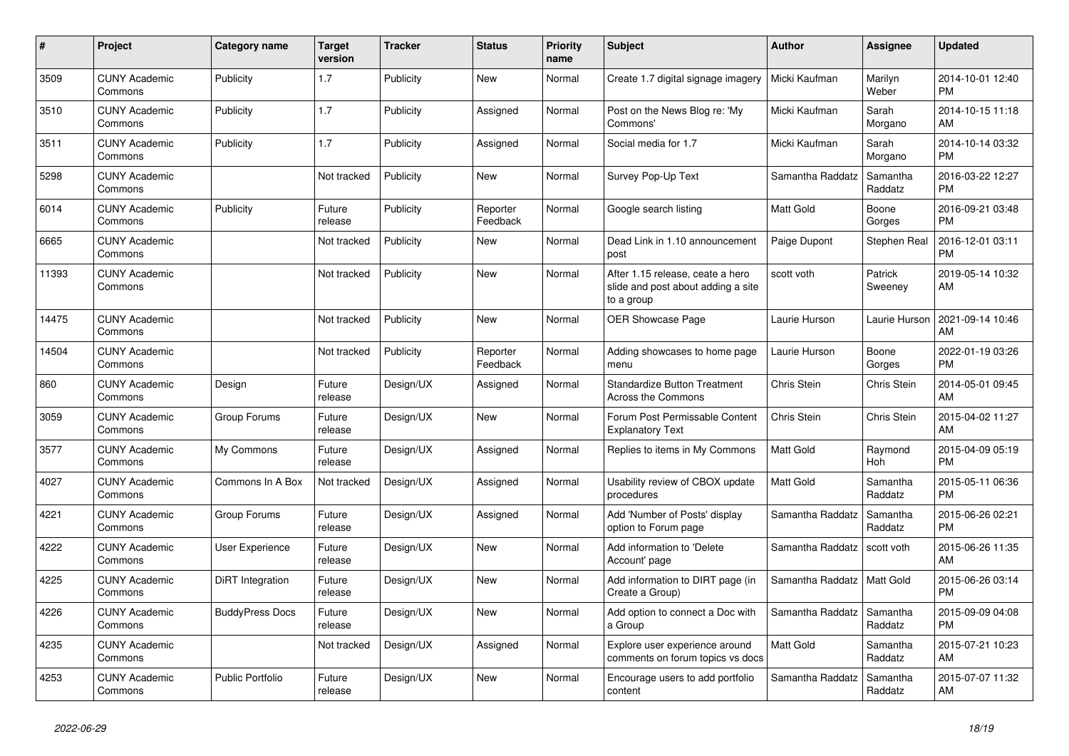| #     | Project                         | <b>Category name</b>   | <b>Target</b><br>version | <b>Tracker</b> | <b>Status</b>        | <b>Priority</b><br>name | <b>Subject</b>                                                                       | <b>Author</b>    | <b>Assignee</b>     | <b>Updated</b>                |
|-------|---------------------------------|------------------------|--------------------------|----------------|----------------------|-------------------------|--------------------------------------------------------------------------------------|------------------|---------------------|-------------------------------|
| 3509  | <b>CUNY Academic</b><br>Commons | Publicity              | 1.7                      | Publicity      | New                  | Normal                  | Create 1.7 digital signage imagery                                                   | Micki Kaufman    | Marilyn<br>Weber    | 2014-10-01 12:40<br><b>PM</b> |
| 3510  | <b>CUNY Academic</b><br>Commons | Publicity              | 1.7                      | Publicity      | Assigned             | Normal                  | Post on the News Blog re: 'My<br>Commons'                                            | Micki Kaufman    | Sarah<br>Morgano    | 2014-10-15 11:18<br>AM        |
| 3511  | <b>CUNY Academic</b><br>Commons | Publicity              | 1.7                      | Publicity      | Assigned             | Normal                  | Social media for 1.7                                                                 | Micki Kaufman    | Sarah<br>Morgano    | 2014-10-14 03:32<br><b>PM</b> |
| 5298  | <b>CUNY Academic</b><br>Commons |                        | Not tracked              | Publicity      | <b>New</b>           | Normal                  | Survey Pop-Up Text                                                                   | Samantha Raddatz | Samantha<br>Raddatz | 2016-03-22 12:27<br><b>PM</b> |
| 6014  | <b>CUNY Academic</b><br>Commons | Publicity              | Future<br>release        | Publicity      | Reporter<br>Feedback | Normal                  | Google search listing                                                                | <b>Matt Gold</b> | Boone<br>Gorges     | 2016-09-21 03:48<br><b>PM</b> |
| 6665  | <b>CUNY Academic</b><br>Commons |                        | Not tracked              | Publicity      | New                  | Normal                  | Dead Link in 1.10 announcement<br>post                                               | Paige Dupont     | Stephen Real        | 2016-12-01 03:11<br><b>PM</b> |
| 11393 | <b>CUNY Academic</b><br>Commons |                        | Not tracked              | Publicity      | <b>New</b>           | Normal                  | After 1.15 release, ceate a hero<br>slide and post about adding a site<br>to a group | scott voth       | Patrick<br>Sweeney  | 2019-05-14 10:32<br>AM        |
| 14475 | <b>CUNY Academic</b><br>Commons |                        | Not tracked              | Publicity      | New                  | Normal                  | OER Showcase Page                                                                    | Laurie Hurson    | Laurie Hurson       | 2021-09-14 10:46<br>AM        |
| 14504 | <b>CUNY Academic</b><br>Commons |                        | Not tracked              | Publicity      | Reporter<br>Feedback | Normal                  | Adding showcases to home page<br>menu                                                | Laurie Hurson    | Boone<br>Gorges     | 2022-01-19 03:26<br><b>PM</b> |
| 860   | <b>CUNY Academic</b><br>Commons | Design                 | Future<br>release        | Design/UX      | Assigned             | Normal                  | <b>Standardize Button Treatment</b><br><b>Across the Commons</b>                     | Chris Stein      | <b>Chris Stein</b>  | 2014-05-01 09:45<br>AM        |
| 3059  | <b>CUNY Academic</b><br>Commons | Group Forums           | Future<br>release        | Design/UX      | New                  | Normal                  | Forum Post Permissable Content<br><b>Explanatory Text</b>                            | Chris Stein      | Chris Stein         | 2015-04-02 11:27<br>AM        |
| 3577  | <b>CUNY Academic</b><br>Commons | My Commons             | Future<br>release        | Design/UX      | Assigned             | Normal                  | Replies to items in My Commons                                                       | <b>Matt Gold</b> | Raymond<br>Hoh      | 2015-04-09 05:19<br><b>PM</b> |
| 4027  | <b>CUNY Academic</b><br>Commons | Commons In A Box       | Not tracked              | Design/UX      | Assigned             | Normal                  | Usability review of CBOX update<br>procedures                                        | <b>Matt Gold</b> | Samantha<br>Raddatz | 2015-05-11 06:36<br><b>PM</b> |
| 4221  | <b>CUNY Academic</b><br>Commons | Group Forums           | Future<br>release        | Design/UX      | Assigned             | Normal                  | Add 'Number of Posts' display<br>option to Forum page                                | Samantha Raddatz | Samantha<br>Raddatz | 2015-06-26 02:21<br><b>PM</b> |
| 4222  | <b>CUNY Academic</b><br>Commons | User Experience        | Future<br>release        | Design/UX      | New                  | Normal                  | Add information to 'Delete<br>Account' page                                          | Samantha Raddatz | scott voth          | 2015-06-26 11:35<br>AM        |
| 4225  | <b>CUNY Academic</b><br>Commons | DiRT Integration       | Future<br>release        | Design/UX      | New                  | Normal                  | Add information to DIRT page (in<br>Create a Group)                                  | Samantha Raddatz | Matt Gold           | 2015-06-26 03:14<br><b>PM</b> |
| 4226  | <b>CUNY Academic</b><br>Commons | <b>BuddyPress Docs</b> | Future<br>release        | Design/UX      | <b>New</b>           | Normal                  | Add option to connect a Doc with<br>a Group                                          | Samantha Raddatz | Samantha<br>Raddatz | 2015-09-09 04:08<br><b>PM</b> |
| 4235  | <b>CUNY Academic</b><br>Commons |                        | Not tracked              | Design/UX      | Assigned             | Normal                  | Explore user experience around<br>comments on forum topics vs docs                   | <b>Matt Gold</b> | Samantha<br>Raddatz | 2015-07-21 10:23<br>AM        |
| 4253  | <b>CUNY Academic</b><br>Commons | Public Portfolio       | Future<br>release        | Design/UX      | <b>New</b>           | Normal                  | Encourage users to add portfolio<br>content                                          | Samantha Raddatz | Samantha<br>Raddatz | 2015-07-07 11:32<br>AM        |